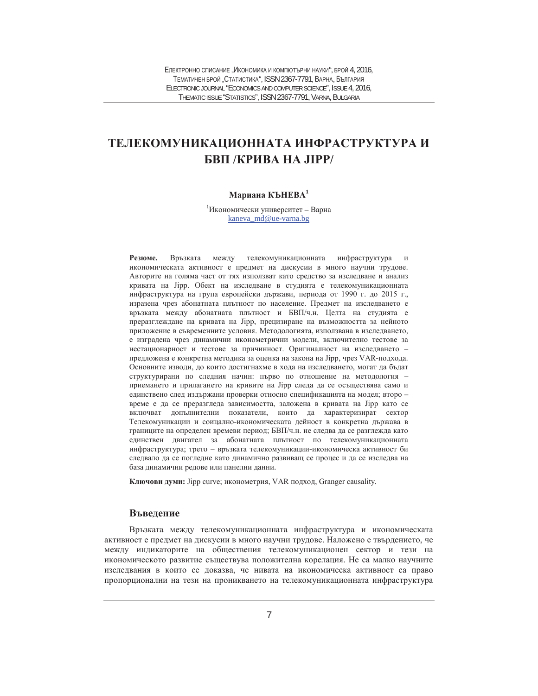# ТЕЛЕКОМУНИКАЦИОННАТА ИНФРАСТРУКТУРА И **БВП /КРИВА НА ЛІРР/**

## Мариана КЪНЕВА<sup>1</sup>

 $1$ Икономически университет – Варна kaneva\_md@ue-varna.bg

Резюме. Връзката между телекомуникационната инфраструктура и икономическата активност е предмет на дискусии в много научни трудове. Авторите на голяма част от тях използват като средство за изследване и анализ кривата на Јірр. Обект на изследване в студията е телекомуникационната инфраструктура на група европейски държави, периода от 1990 г. до 2015 г., изразена чрез абонатната плътност по население. Предмет на изследването е връзката между абонатната плътност и БВП/ч.н. Целта на студията е преразглеждане на кривата на Јірр, прецизиране на възможността за нейното приложение в съвременните условия. Методологията, използвана в изследването, е изградена чрез динамични иконометрични модели, включително тестове за нестационарност и тестове за причинност. Оригиналност на изследването предложена е конкретна методика за оценка на закона на Jipp, чрез VAR-подхода. Основните изводи, до които достигнахме в хода на изследването, могат да бъдат структурирани по следния начин: първо по отношение на методология приемането и прилагането на кривите на Јірр следа да се осъществява само и единствено след издържани проверки относно спецификацията на модел; второ – време е да се преразгледа зависимостта, заложена в кривата на Jipp като се включват допълнителни показатели, които да характеризират сектор Телекомуникации и соицално-икономическата дейност в конкретна държава в границите на определен времеви период; БВП/ч.н. не следва да се разглежда като единствен двигател за абонатната плътност по телекомуникационната инфраструктура; трето - връзката телекомуникации-икономическа активност би следвало да се погледне като динамично развиващ се процес и да се изследва на база динамични редове или панелни данни.

Ключови думи: Jipp curve; иконометрия, VAR подход, Granger causality.

### **Въвеление**

Връзката между телекомуникационната инфраструктура и икономическата активност е предмет на дискусии в много научни трудове. Наложено е твърдението, че между индикаторите на обществения телекомуникационен сектор и тези на икономическото развитие съществува положителна корелация. Не са малко научните изследвания в които се доказва, че нивата на икономическа активност са право пропорционални на тези на проникването на телекомуникационната инфраструктура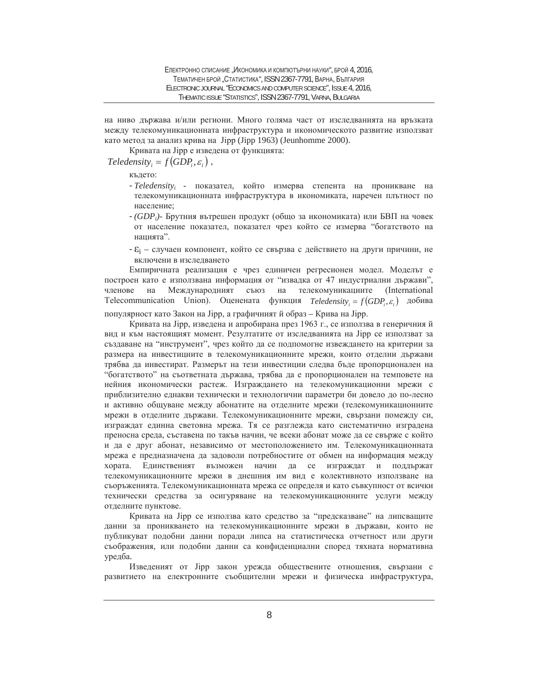на ниво държава и/или региони. Много голяма част от изследванията на връзката между телекомуникационната инфраструктура и икономическото развитие използват като метод за анализ крива на Jipp (Jipp 1963) (Jeunhomme 2000).

Кривата на Јірр е изведена от функцията:

# $\textit{Teledensity}_{i} = f(\textit{GDP}_{i}, \varepsilon_{i})$ ,

където:

- *Teledensity<sub>i</sub>* показател, който измерва степента на проникване на телекомуникационната инфраструктура в икономиката, наречен плътност по население;
- *(GDP<sub>i</sub>*)- Брутния вътрешен продукт (общо за икономиката) или БВП на човек от население показател, показател чрез който се измерва "богатството на нацията".
- $\mathcal{E}_i$  случаен компонент, който се свързва с действието на други причини, не включени в изследването

Емпиричната реализация е чрез единичен регресионен модел. Моделът е построен като е използвана информация от "извадка от 47 индустриални държави", членове на Международният съюз на телекомуникациите (International  $T$ elecommunication Union). Оценената функция  $T$ eledensity<sub>i</sub> =  $f(GDP_i, \varepsilon_i)$  добива

популярност като Закон на Јірр, а графичният й образ - Крива на Јірр.

Кривата на Јірр, изведена и апробирана през 1963 г., се използва в генеричния й вид и към настоящият момент. Резултатите от изследванията на Jipp се използват за създаване на "инструмент", чрез който да се подпомогне извеждането на критерии за размера на инвестициите в телекомуникационните мрежи, които отделни държави трябва да инвестират. Размерът на тези инвестиции следва бъде пропорционален на "богатството" на съответната държава, трябва да е пропорционален на темповете на нейния икономически растеж. Изграждането на телекомуникационни мрежи с приблизително еднакви технически и технологични параметри би довело до по-лесно и активно общуване между абонатите на отделните мрежи (телекомуникационните мрежи в отделните държави. Телекомуникационните мрежи, свързани помежду си, изграждат единна световна мрежа. Тя се разглежда като систематично изградена преносна среда, съставена по такъв начин, че всеки абонат може да се свърже с който и да е друг абонат, независимо от местоположението им. Телекомуникационната мрежа е предназначена да задоволи потребностите от обмен на информация между хората. Единственият възможен начин да се изграждат и поддържат телекомуникационните мрежи в днешния им вид е колективното използване на съоръженията. Телекомуникационната мрежа се определя и като съвкупност от всички технически средства за осигуряване на телекомуникационните услуги между отделните пунктове.

Кривата на Јірр се използва като средство за "предсказване" на липсващите данни за проникването на телекомуникационните мрежи в държави, които не публикуват подобни данни поради липса на статистическа отчетност или други съображения, или подобни данни са конфиденциални според тяхната нормативна уредба.

Изведеният от Јірр закон урежда обществените отношения, свързани с развитието на електронните съобщителни мрежи и физическа инфраструктура,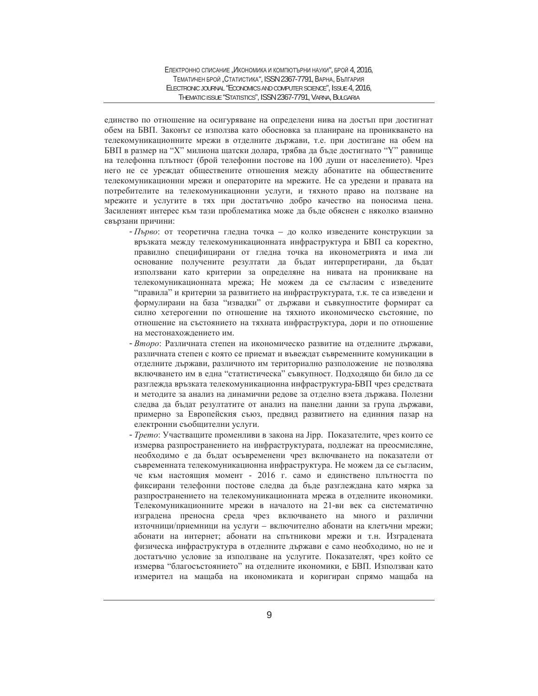единство по отношение на осигуряване на определени нива на достъп при достигнат обем на БВП. Законът се използва като обосновка за планиране на проникването на телекомуникационните мрежи в отделните държави, т.е. при достигане на обем на БВП в размер на "Х" милиона щатски долара, трябва да бъде достигнато "Ү" равнище на телефонна плътност (брой телефонни постове на 100 души от населението). Чрез него не се уреждат обществените отношения между абонатите на обществените телекомуникационни мрежи и операторите на мрежите. Не са уредени и правата на потребителите на телекомуникационни услуги, и тяхното право на ползване на мрежите и услугите в тях при достатъчно добро качество на поносима цена. Засиленият интерес към тази проблематика може да бъде обяснен с няколко взаимно свързани причини:

- Първо: от теоретична гледна точка до колко изведените конструкции за връзката между телекомуникационната инфраструктура и БВП са коректно, правилно специфицирани от гледна точка на иконометрията и има ли основание получените резултати да бъдат интерпретирани, да бъдат използвани като критерии за определяне на нивата на проникване на телекомуникационната мрежа; Не можем да се съгласим с изведените "правила" и критерии за развитието на инфраструктурата, т.к. те са изведени и формулирани на база "извадки" от държави и съвкупностите формират са силно хетерогенни по отношение на тяхното икономическо състояние, по отношение на състоянието на тяхната инфраструктура, дори и по отношение на местонахождението им.
- Второ: Различната степен на икономическо развитие на отделните държави, различната степен с която се приемат и въвеждат съвременните комуникации в отделните държави, различното им териториално разположение не позволява включването им в една "статистическа" съвкупност. Подходящо би било да се разглежда връзката телекомуникационна инфраструктура-БВП чрез средствата и методите за анализ на динамични редове за отделно взета държава. Полезни следва да бъдат резултатите от анализ на панелни данни за група държави, примерно за Европейския съюз, предвид развитието на единния пазар на електронни съобщителни услуги.
- *Трето*: Участващите променливи в закона на Jipp. Показателите, чрез които се измерва разпространението на инфраструктурата, подлежат на преосмисляне, необходимо е да бъдат осъвременени чрез включването на показатели от съвременната телекомуникационна инфраструктура. Не можем да се съгласим, че към настоящия момент - 2016 г. само и единствено плътността по фиксирани телефонни постове следва да бъде разглеждана като мярка за разпространението на телекомуникационната мрежа в отделните икономики. Телекомуникационните мрежи в началото на 21-ви век са систематично изградена преносна среда чрез включването на много и различни източници/приемници на услуги – включително абонати на клетъчни мрежи; абонати на интернет; абонати на спътникови мрежи и т.н. Изградената физическа инфраструктура в отделните държави е само необходимо, но не и достатъчно условие за използване на услугите. Показателят, чрез който се измерва "благосъстоянието" на отделните икономики, е БВП. Използван като измерител на мащаба на икономиката и коригиран спрямо мащаба на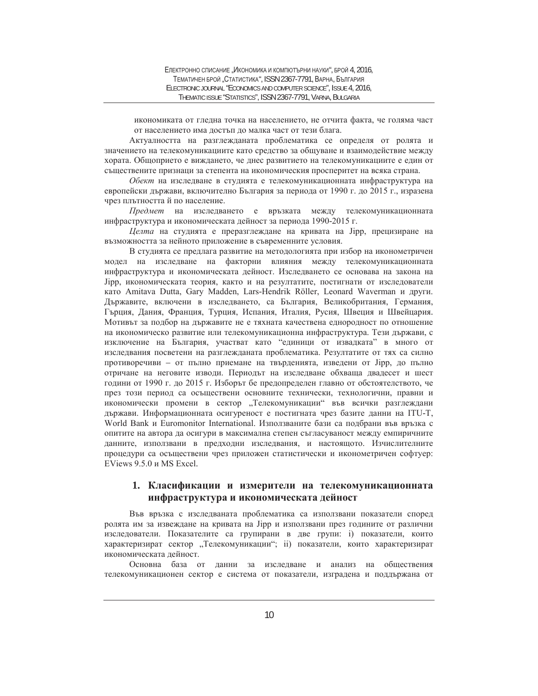икономиката от гледна точка на населението, не отчита факта, че голяма част от населението има достъп до малка част от тези блага.

Актуалността на разглежданата проблематика се определя от ролята и значението на телекомуникациите като средство за общуване и взаимодействие между хората. Общоприето е виждането, че днес развитието на телекомуникациите е един от съществените признаци за степента на икономическия просперитет на всяка страна.

Обект на изследване в студията е телекомуникационната инфраструктура на европейски държави, включително България за периода от 1990 г. до 2015 г., изразена чрез плътността й по население.

*Предмет* на изследването е връзката между телекомуникационната инфраструктура и икономическата дейност за периода 1990-2015 г.

*Целта* на студията е преразглеждане на кривата на Јірр, прецизиране на възможността за нейното приложение в съвременните условия.

В студията се предлага развитие на методологията при избор на иконометричен модел на изследване на факторни влияния между телекомуникационната инфраструктура и икономическата дейност. Изследването се основава на закона на Jipp, икономическата теория, както и на резултатите, постигнати от изследователи kato Amitava Dutta, Gary Madden, Lars-Hendrik Röller, Leonard Waverman и други. Държавите, включени в изследването, са България, Великобритания, Германия, Гърция, Дания, Франция, Турция, Испания, Италия, Русия, Швеция и Швейцария. Мотивът за подбор на държавите не е тяхната качествена еднородност по отношение на икономическо развитие или телекомуникационна инфраструктура. Тези държави, с изключение на България, участват като "единици от извадката" в много от изследвания посветени на разглежданата проблематика. Резултатите от тях са силно противоречиви – от пълно приемане на твърденията, изведени от Јірр, до пълно отричане на неговите изводи. Периодът на изследване обхваща двадесет и шест години от 1990 г. до 2015 г. Изборът бе предопределен главно от обстоятелството, че през този период са осъществени основните технически, технологични, правни и икономически промени в сектор "Телекомуникации" във всички разглеждани държави. Информационната осигуреност е постигната чрез базите данни на ITU-T, World Bank и Euromonitor International. Използваните бази са подбрани във връзка с опитите на автора да осигури в максимална степен съгласуваност между емпиричните данните, използвани в предходни изследвания, и настоящото. Изчислителните процедури са осъществени чрез приложен статистически и иконометричен софтуер: EViews 9.5.0 и MS Excel.

# 1. Класификации и измерители на телекомуникационната инфраструктура и икономическата дейност

Във връзка с изследваната проблематика са използвани показатели според ролята им за извеждане на кривата на Јірр и използвани през годините от различни изследователи. Показателите са групирани в две групи: i) показатели, които характеризират сектор "Телекомуникации"; ii) показатели, които характеризират икономическата лейност.

Основна база от данни за изследване и анализ на обществения телекомуникационен сектор е система от показатели, изградена и поддържана от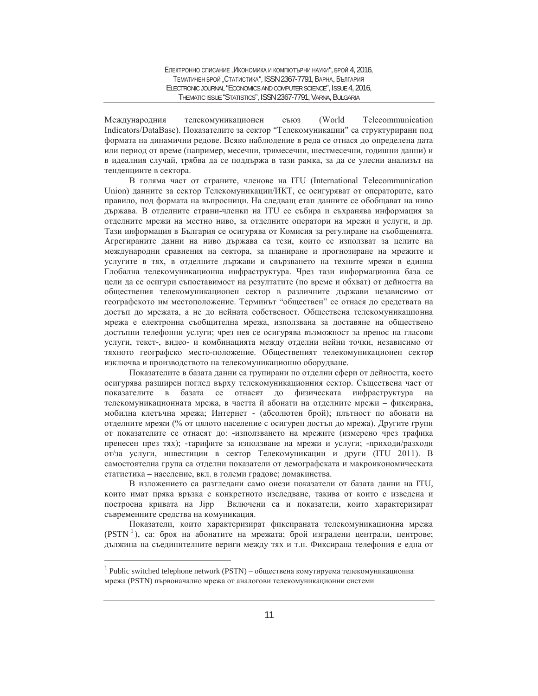Международния телекомуникационен съюз (World Telecommunication Indicators/DataBase). Показателите за сектор "Телекомуникации" са структурирани под формата на динамични редове. Всяко наблюдение в реда се отнася до определена дата или период от време (например, месечни, тримесечни, шестмесечни, годишни данни) и в идеалния случай, трябва да се поддържа в тази рамка, за да се улесни анализът на тенденциите в сектора.

В голяма част от страните, членове на ITU (International Telecommunication Union) данните за сектор Телекомуникации/ИКТ, се осигуряват от операторите, като правило, под формата на въпросници. На следващ етап данните се обобщават на ниво държава. В отделните страни-членки на ITU се събира и съхранява информация за отделните мрежи на местно ниво, за отделните оператори на мрежи и услуги, и др. Тази информация в България се осигурява от Комисия за регулиране на съобщенията. Агрегираните данни на ниво държава са тези, които се използват за целите на международни сравнения на сектора, за планиране и прогнозиране на мрежите и услугите в тях, в отделните държави и свързването на техните мрежи в единна Глобална телекомуникационна инфраструктура. Чрез тази информационна база се цели да се осигури съпоставимост на резултатите (по време и обхват) от дейността на обществения телекомуникационен сектор в различните държави независимо от географското им местоположение. Терминът "обществен" се отнася до средствата на достъп до мрежата, а не до нейната собственост. Обществена телекомуникационна мрежа е електронна съобщителна мрежа, използвана за доставяне на обществено достъпни телефонни услуги; чрез нея се осигурява възможност за пренос на гласови услуги, текст-, видео- и комбинацията между отделни нейни точки, независимо от тяхното географско место-положение. Общественият телекомуникационен сектор изключва и производството на телекомуникационно оборудване.

Показателите в базата данни са групирани по отделни сфери от дейността, което осигурява разширен поглед върху телекомуникационния сектор. Съществена част от показателите в базата се отнасят до физическата инфраструктура на телекомуникационната мрежа, в частта й абонати на отделните мрежи – фиксирана, мобилна клетьчна мрежа; Интернет - (абсолютен брой); плътност по абонати на отделните мрежи (% от цялото население с осигурен достъп до мрежа). Другите групи от показателите се отнасят до: -използването на мрежите (измерено чрез трафика пренесен през тях); -тарифите за използване на мрежи и услуги; -приходи/разходи от/за услуги, инвестиции в сектор Телекомуникации и други (ITU 2011). В самостоятелна група са отделни показатели от демографската и макроикономическата статистика - население, вкл. в големи градове; домакинства.

В изложението са разгледани само онези показатели от базата данни на ITU, които имат пряка връзка с конкретното изследване, такива от които е изведена и построена кривата на Јірр Включени са и показатели, които характеризират съвременните средства на комуникация.

Показатели, които характеризират фиксираната телекомуникационна мрежа (PSTN<sup>1</sup>), са: броя на абонатите на мрежата; брой изградени централи, центрове; дължина на съединителните вериги между тях и т.н. Фиксирана телефония е една от

 $\overline{a}$ 

 $1$  Public switched telephone network (PSTN) – обществена комутируема телекомуникационна мрежа (PSTN) първоначално мрежа от аналогови телекомуникационни системи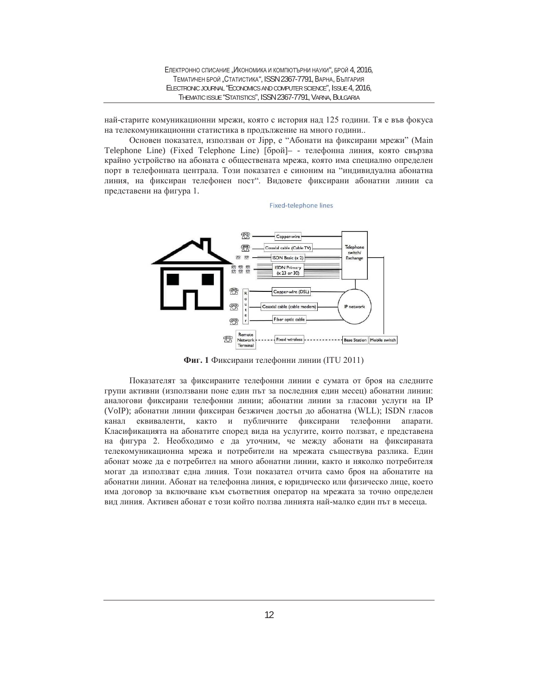най-старите комуникационни мрежи, която с история над 125 години. Тя е във фокуса на телекомуникационни статистика в продължение на много години..

Основен показател, използван от Jipp, е "Абонати на фиксирани мрежи" (Main Telephone Line) (Fixed Telephone Line) [брой]- - телефонна линия, която свързва крайно устройство на абоната с обществената мрежа, която има специално определен порт в телефонната централа. Този показател е синоним на "индивидуална абонатна линия, на фиксиран телефонен пост". Видовете фиксирани абонатни линии са представени на фигура 1.

Fixed-telephone lines



Фиг. 1 Фиксирани телефонни линии (ITU 2011)

Показателят за фиксираните телефонни линии е сумата от броя на следните групи активни (използвани поне един път за последния един месец) абонатни линии: аналогови фиксирани телефонни линии; абонатни линии за гласови услуги на IP (VoIP); абонатни линии фиксиран безжичен достъп до абонатна (WLL); ISDN гласов канал еквиваленти, както и публичните фиксирани телефонни апарати. Класификацията на абонатите според вида на услугите, които ползват, е представена на фигура 2. Необходимо е да уточним, че между абонати на фиксираната телекомуникационна мрежа и потребители на мрежата съществува разлика. Един абонат може да е потребител на много абонатни линии, както и няколко потребителя могат да използват една линия. Този показател отчита само броя на абонатите на абонатни линии. Абонат на телефонна линия, е юридическо или физическо лице, което има договор за включване към съответния оператор на мрежата за точно определен вид линия. Активен абонат е този който ползва линията най-малко един път в месеца.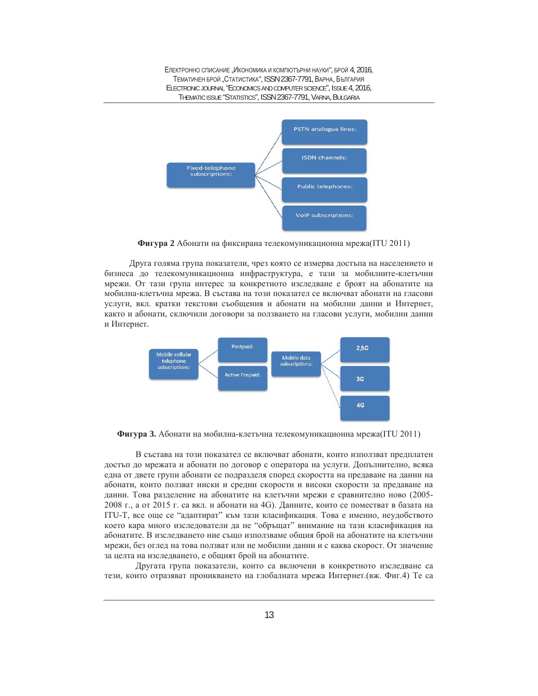ЕЛЕКТРОННО СПИСАНИЕ "ИКОНОМИКА И КОМПЮТЪРНИ НАУКИ", БРОЙ 4, 2016. ТЕМАТИЧЕН БРОЙ "СТАТИСТИКА", ISSN 2367-7791, ВАРНА, БЪЛГАРИЯ ELECTRONIC JOURNAL "ECONOMICS AND COMPUTER SCIENCE", ISSUE 4, 2016, THEMATIC ISSUE "STATISTICS", ISSN 2367-7791, VARNA, BULGARIA



**Фигура 2** Абонати на фиксирана телекомуникационна мрежа(ITU 2011)

Друга голяма група показатели, чрез която се измерва достъпа на населението и бизнеса до телекомуникационна инфраструктура, е тази за мобилните-клетъчни мрежи. От тази група интерес за конкретното изследване е броят на абонатите на мобилна-клетьчна мрежа. В състава на този показател се включват абонати на гласови үслуги, вкл. кратки текстови съобщения и абонати на мобилни данни и Интернет, както и абонати, сключили договори за ползването на гласови услуги, мобилни данни и Интернет.



Фигура 3. Абонати на мобилна-клетъчна телекомуникационна мрежа(ITU 2011)

В състава на този показател се включват абонати, които използват предплатен достъп до мрежата и абонати по договор с оператора на услуги. Допълнително, всяка една от двете групи абонати се подразделя според скоростта на предаване на данни на абонати, които ползват ниски и срелни скорости и високи скорости за прелаване на данни. Това разделение на абонатите на клетъчни мрежи е сравнително ново (2005-2008 г., а от 2015 г. са вкл. и абонати на 4G). Данните, които се поместват в базата на ITU-T, все още се "адаптират" към тази класификация. Това е именно, неудобството което кара много изследователи да не "обръщат" внимание на тази класификация на абонатите. В изследването ние също използваме общия брой на абонатите на клетъчни мрежи, без оглед на това ползват или не мобилни данни и с каква скорост. От значение за целта на изследването, е общият брой на абонатите.

Другата група показатели, които са включени в конкретното изследване са тези, които отразяват проникването на глобалната мрежа Интернет. (вж. Фиг.4) Те са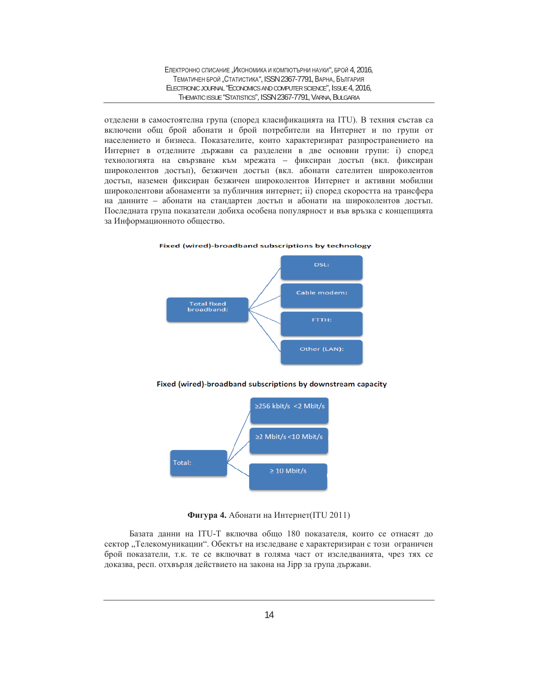отделени в самостоятелна група (според класификацията на ITU). В техния състав са включени общ брой абонати и брой потребители на Интернет и по групи от населението и бизнеса. Показателите, които характеризират разпространението на Интернет в отделните държави са разделени в две основни групи: i) според технологията на свързване към мрежата – фиксиран достъп (вкл. фиксиран широколентов достъп), безжичен достъп (вкл. абонати сателитен широколентов достъп, наземен фиксиран безжичен широколентов Интернет и активни мобилни широколентови абонаменти за публичния интернет; ii) според скоростта на трансфера на данните – абонати на стандартен достъп и абонати на широколентов достъп. Последната група показатели добиха особена популярност и във връзка с концепцията за Информационното общество.





Fixed (wired)-broadband subscriptions by downstream capacity



**Фигура 4.** Абонати на Интернет(ITU 2011)

Базата данни на ITU-Т включва общо 180 показателя, които се отнасят до сектор "Телекомуникации". Обектът на изследване е характеризиран с този ограничен брой показатели, т.к. те се включват в голяма част от изследванията, чрез тях се доказва, респ. отхвърля действието на закона на Јірр за група държави.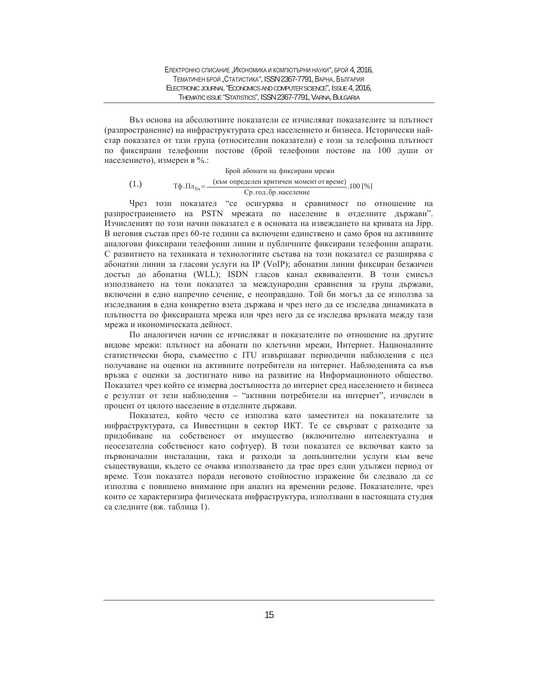Въз основа на абсолютните показатели се изчисляват показателите за плътност (разпространение) на инфраструктурата сред населението и бизнеса. Исторически найстар показател от тази група (относителни показатели) е този за телефонна плътност по фиксирани телефонни постове (брой телефонни постове на 100 души от населението), измерен в %.:

(1.)  $T\phi \cdot \Pi \pi_{fix} = \frac{(\kappa_{BM} \text{ onpe}_{ABCH} \text{ in FWHM} \text{ on the same number})}{Cp \cdot r \circ q \cdot \delta p \cdot \text{hacc}_{ABCH} \text{ on the same number}$ .100 [%] Брой абонати на фиксирани мрежи

Чрез този показател "се осигурява и сравнимост по отношение на разпространението на PSTN мрежата по население в отделните държави". Изчисленият по този начин показател е в основата на извеждането на кривата на Јірр. В неговия състав през 60-те години са включени единствено и само броя на активните аналогови фиксирани телефонни линии и публичните фиксирани телефонни апарати. С развитието на техниката и технологиите състава на този показател се разширява с абонатни линии за гласови услуги на IP (VoIP); абонатни линии фиксиран безжичен достъп до абонатна (WLL); ISDN гласов канал еквиваленти. В този смисъл използването на този показател за международни сравнения за група държави, включени в едно напречно сечение, е неоправдано. Той би могъл да се използва за изследвания в една конкретно взета държава и чрез него да се изследва динамиката в плътността по фиксираната мрежа или чрез него да се изследва връзката между тази мрежа и икономическата дейност.

По аналогичен начин се изчисляват и показателите по отношение на другите видове мрежи: плътност на абонати по клетъчни мрежи, Интернет. Националните статистически бюра, съвместно с ITU извършават периодични наблюдения с цел получаване на оценки на активните потребители на интернет. Наблюденията са във връзка с оценки за достигнато ниво на развитие на Информационното общество. Показател чрез който се измерва достъпността до интернет сред населението и бизнеса е резултат от тези наблюдения – "активни потребители на интернет", изчислен в процент от цялото население в отделните държави.

Показател, който често се използва като заместител на показателите за инфраструктурата, са Инвестиции в сектор ИКТ. Те се свързват с разходите за придобиване на собственост от имущество (включително интелектуална и неосезателна собственост като софтуер). В този показател се включват както за първоначални инсталации, така и разходи за допълнителни услуги към вече съществуващи, където се очаква използването да трае през един удължен период от време. Този показател поради неговото стойностно изражение би следвало да се използва с повишено внимание при анализ на временни редове. Показателите, чрез които се характеризира физическата инфраструктура, използвани в настоящата студия са следните (вж. таблица 1).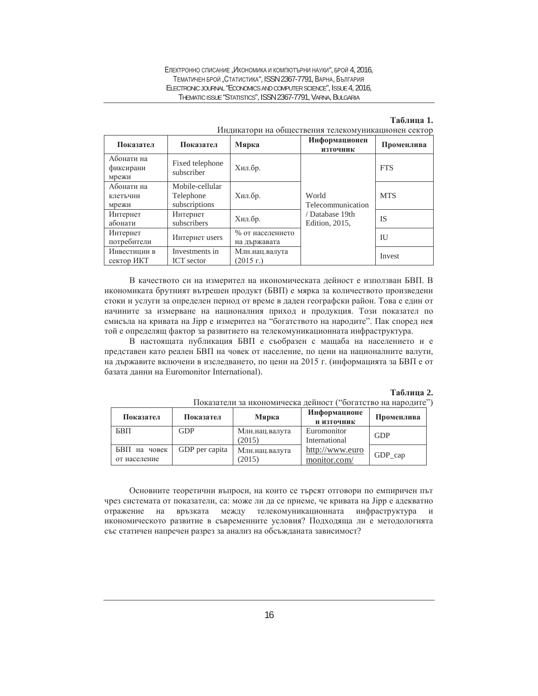#### ЕЛЕКТРОННО СПИСАНИЕ "ИКОНОМИКА И КОМПЮТЪРНИ НАУКИ", БРОЙ 4, 2016, ТЕМАТИЧЕН БРОЙ "СТАТИСТИКА", ISSN 2367-7791, ВАРНА, БЪЛГАРИЯ ELECTRONIC JOURNAL "ECONOMICS AND COMPUTER SCIENCE", ISSUE 4, 2016, THEMATIC ISSUE "STATISTICS", ISSN 2367-7791, VARNA, BULGARIA

# **Ɍɚɛɥɢɰɚ 1.**

| Показател                        | Показател                                     | Мярка                                   | Информационен<br><b>ИЗТОЧНИК</b>  | Променлива   |
|----------------------------------|-----------------------------------------------|-----------------------------------------|-----------------------------------|--------------|
| Абонати на<br>фиксирани<br>мрежи | Fixed telephone<br>subscriber                 | Хил.бр.                                 |                                   | <b>FTS</b>   |
| Абонати на<br>клетъчни<br>мрежи  | Mobile-cellular<br>Telephone<br>subscriptions | Хил.бр.                                 | World<br>Telecommunication        | <b>MTS</b>   |
| Интернет<br>абонати              | Интернет<br>subscribers                       | Хил.бр.                                 | / Database 19th<br>Edition, 2015. | <b>IS</b>    |
| Интернет<br>потребители          | Интернет users                                | % от населението<br>на държавата        |                                   | $\mathbf{H}$ |
| Инвестиции в<br>сектор ИКТ       | Investments in<br><b>ICT</b> sector           | Млн.нац.валута<br>$(2015 \; \text{r.})$ |                                   | Invest       |

#### Индикатори на обществения телекомуникационен сектор

В качеството си на измерител на икономическата дейност е използван БВП. В икономиката брутният вътрешен продукт (БВП) е мярка за количеството произведени стоки и услуги за определен период от време в даден географски район. Това е един от начините за измерване на националния приход и продукция. Този показател по смисъла на кривата на Јірр е измерител на "богатството на народите". Пак според нея той е определящ фактор за развитието на телекомуникационната инфраструктура.

В настоящата публикация БВП е съобразен с мащаба на населението и е представен като реален БВП на човек от население, по цени на националните валути, на държавите включени в изследването, по цени на 2015 г. (информацията за БВП е от базата данни на Euromonitor International).

#### $Ta5$ лица 2.

| Показател                    | Показател      | Мярка                    | Информационе<br>Н ИЗТОЧНИК      | Променлива |
|------------------------------|----------------|--------------------------|---------------------------------|------------|
| БBП                          | <b>GDP</b>     | Млн.нац.валута<br>(2015) | Euromonitor<br>International    | <b>GDP</b> |
| БВП на човек<br>от население | GDP per capita | Млн.нац.валута<br>(2015) | http://www.euro<br>monitor.com/ | GDP_cap    |

Показатели за икономическа дейност ("богатство на народите")

Основните теоретични въпроси, на които се търсят отговори по емпиричен път чрез системата от показатели, са: може ли да се приеме, че кривата на Jipp е адекватно отражение на връзката между телекомуникационната инфраструктура и икономическото развитие в съвременните условия? Подходяща ли е методологията със статичен напречен разрез за анализ на обсъжданата зависимост?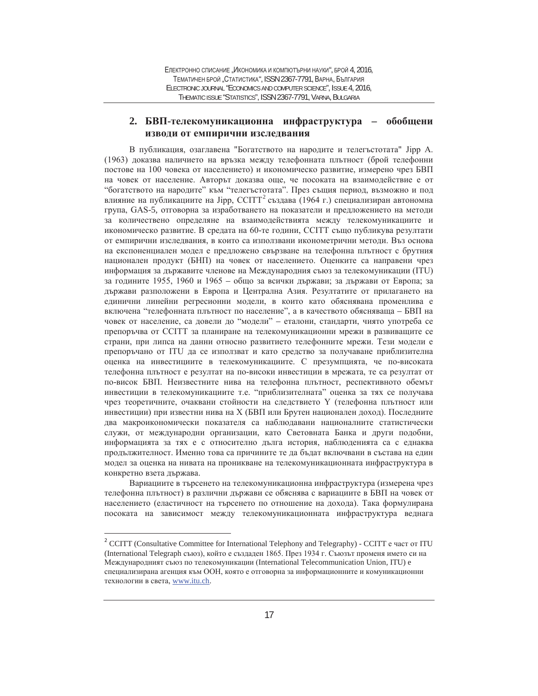# 2. БВП-телекомуникационна инфраструктура – обобщени ИЗВОДИ ОТ ЕМПИРИЧНИ ИЗСЛЕДВАНИЯ

В публикация, озаглавена "Богатството на народите и телегъстотата" Јірр А. (1963) доказва наличието на връзка между телефонната плътност (брой телефонни постове на 100 човека от населението) и икономическо развитие, измерено чрез БВП на човек от население. Авторът доказва още, че посоката на взаимодействие е от "богатството на народите" към "телегъстотата". През същия период, възможно и под влияние на публикациите на Jipp, CCITT<sup>2</sup> създава (1964 г.) специализиран автономна група, GAS-5, отговорна за изработването на показатели и предложението на методи за количествено определяне на взаимодействията между телекомуникациите и икономическо развитие. В средата на 60-те години, ССІТТ също публикува резултати от емпирични изследвания, в които са използвани иконометрични методи. Въз основа на експоненциален модел е предложено свързване на телефонна плътност с брутния национален продукт (БНП) на човек от населението. Оценките са направени чрез информация за държавите членове на Международния съюз за телекомуникации (ITU) за годините 1955, 1960 и 1965 – общо за всички държави; за държави от Европа; за държави разположени в Европа и Централна Азия. Резултатите от прилагането на единични линейни регресионни модели, в които като обяснявана променлива е включена "телефонната плътност по население", а в качеството обясняваща - БВП на човек от население, са довели до "модели" – еталони, стандарти, чиято употреба се препоръчва от ССІТТ за планиране на телекомуникационни мрежи в развиващите се страни, при липса на данни относно развитието телефонните мрежи. Тези модели е препоръчано от ITU да се използват и като средство за получаване приблизителна оценка на инвестициите в телекомуникациите. С презумпцията, че по-високата телефонна плътност е резултат на по-високи инвестиции в мрежата, те са резултат от по-висок БВП. Неизвестните нива на телефонна плътност, респективното обемът инвестиции в телекомуникациите т.е. "приблизителната" оценка за тях се получава чрез теоретичните, очаквани стойности на следствието Y (телефонна плътност или инвестиции) при известни нива на Х (БВП или Брутен национален доход). Последните два макроикономически показателя са наблюдавани националните статистически служи, от международни организации, като Световната Банка и други подобни, информацията за тях е с относително дълга история, наблюденията са с еднаква продължителност. Именно това са причините те да бъдат включвани в състава на един модел за оценка на нивата на проникване на телекомуникационната инфраструктура в конкретно взета държава.

Вариациите в търсенето на телекомуникационна инфраструктура (измерена чрез телефонна плътност) в различни държави се обяснява с вариациите в БВП на човек от населението (еластичност на търсенето по отношение на дохода). Така формулирана посоката на зависимост между телекомуникационната инфраструктура веднага

 $\overline{a}$ 

 $2^2$  CCITT (Consultative Committee for International Telephony and Telegraphy) - CCITT e част от ITU (International Telegraph съюз), който е създаден 1865. През 1934 г. Съюзът променя името си на Международният съюз по телекомуникации (International Telecommunication Union, ITU) е специализирана агенция към ООН, която е отговорна за информационните и комуникационни технологии в света, www.itu.ch.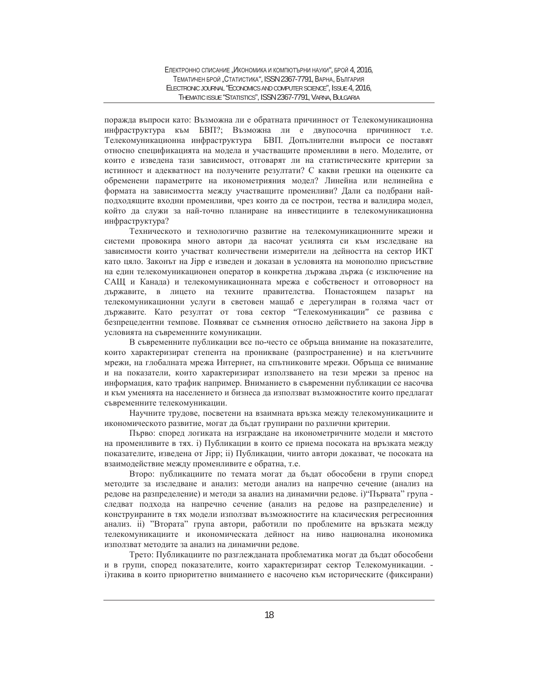поражда въпроси като: Възможна ли е обратната причинност от Телекомуникационна инфраструктура към БВП?; Възможна ли е двупосочна причинност т.е. Телекомуникационна инфраструктура БВП. Допълнителни въпроси се поставят относно спецификацията на модела и участващите променливи в него. Моделите, от които е изведена тази зависимост, отговарят ли на статистическите критерии за истинност и адекватност на получените резултати? С какви грешки на оценките са обременени параметрите на иконометрияния модел? Линейна или нелинейна е формата на зависимостта между участващите променливи? Дали са подбрани найподходящите входни променливи, чрез които да се построи, тества и валидира модел, който да служи за най-точно планиране на инвестициите в телекомуникационна инфраструктура?

Техническото и технологично развитие на телекомуникационните мрежи и системи провокира много автори да насочат усилията си към изследване на зависимости които участват количествени измерители на дейността на сектор ИКТ като цяло. Законът на Jipp е изведен и доказан в условията на монополно присъствие на един телекомуникационен оператор в конкретна държава държа (с изключение на САЩ и Канада) и телекомуникационната мрежа е собственост и отговорност на държавите, в лицето на техните правителства. Понастоящем пазарът на телекомуникационни услуги в световен мащаб е дерегулиран в голяма част от държавите. Като резултат от това сектор "Телекомуникации" се развива с безпрецедентни темпове. Появяват се съмнения относно действието на закона Јірр в условията на съвременните комуникации.

В съвременните публикации все по-често се обръща внимание на показателите, които характеризират степента на проникване (разпространение) и на клетъчните мрежи, на глобалната мрежа Интернет, на спътниковите мрежи. Обръща се внимание и на показатели, които характеризират използването на тези мрежи за пренос на информация, като трафик например. Вниманието в съвременни публикации се насочва и към уменията на населението и бизнеса да използват възможностите които предлагат съвременните телекомуникации.

Научните трудове, посветени на взаимната връзка между телекомуникациите и икономическото развитие, могат да бъдат групирани по различни критерии.

Първо: според логиката на изграждане на иконометричните модели и мястото на променливите в тях. і) Публикации в които се приема посоката на връзката между показателите, изведена от Jipp; ii) Публикации, чиито автори доказват, че посоката на взаимодействие между променливите е обратна, т.е.

Второ: публикациите по темата могат да бъдат обособени в групи според методите за изследване и анализ: методи анализ на напречно сечение (анализ на редове на разпределение) и методи за анализ на динамични редове. i) "Първата" група следват подхода на напречно сечение (анализ на редове на разпределение) и конструираните в тях модели използват възможностите на класическия регресионния анализ. ii) "Втората" група автори, работили по проблемите на връзката между телекомуникациите и икономическата дейност на ниво национална икономика използват методите за анализ на динамични редове.

Трето: Публикациите по разглежданата проблематика могат да бъдат обособени и в групи, според показателите, които характеризират сектор Телекомуникации. і) такива в които приоритетно вниманието е насочено към историческите (фиксирани)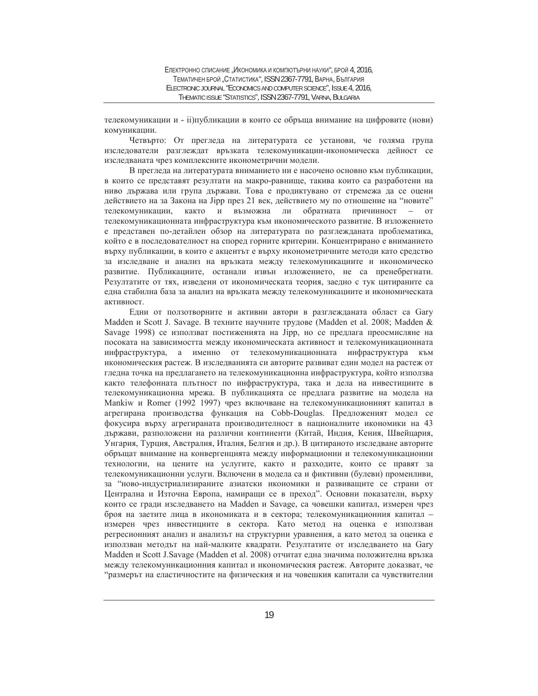телекомуникации и - ii)публикации в които се обръща внимание на цифровите (нови) комуникации.

Четвърто: От прегледа на литературата се установи, че голяма група изследователи разглеждат връзката телекомуникации-икономическа дейност се изследваната чрез комплексните иконометрични модели.

В прегледа на литературата вниманието ни е насочено основно към публикации, в които се представят резултати на макро-равнище, такива които са разработени на ниво държава или група държави. Това е продиктувано от стремежа да се оцени действието на за Закона на Јірр през 21 век, действието му по отношение на "новите" телекомуникации, както и възможна ли обратната причинност – от телекомуникационната инфраструктура към икономическото развитие. В изложението е представен по-детайлен обзор на литературата по разглежданата проблематика, който е в последователност на според горните критерии. Концентрирано е вниманието върху публикации, в които е акцентът е върху иконометричните методи като средство за изследване и анализ на връзката между телекомуникациите и икономическо развитие. Публикациите, останали извън изложението, не са пренебрегнати. Резултатите от тях, изведени от икономическата теория, заедно с тук цитираните са една стабилна база за анализ на връзката между телекомуникациите и икономическата активност.

Едни от ползотворните и активни автори в разглежданата област са Gary Madden и Scott J. Savage. В техните научните трудове (Madden et al. 2008; Madden & Savage 1998) се използват постиженията на Jipp, но се предлага преосмисляне на посоката на зависимостта между икономическата активност и телекомуникационната инфраструктура, а именно от телекомуникационната инфраструктура към икономическия растеж. В изследванията си авторите развиват един модел на растеж от гледна точка на предлагането на телекомуникационна инфраструктура, който използва както телефонната плътност по инфраструктура, така и дела на инвестициите в телекомуникационна мрежа. В публикацията се предлага развитие на модела на Мапкіw и Romer (1992 1997) чрез включване на телекомуникационният капитал в агрегирана производства функация на Cobb-Douglas. Предложеният модел се фокусира върху агрегираната производителност в националните икономики на 43 държави, разположени на различни континенти (Китай, Индия, Кения, Швейцария, Унгария, Турция, Австралия, Италия, Белгия и др.). В цитираното изследване авторите обръщат внимание на конвергенцията между информационни и телекомуникационни технологии, на цените на услугите, както и разходите, които се правят за телекомуникационни услуги. Включени в модела са и фиктивни (булеви) променливи, за "ново-индустриализираните азиатски икономики и развиващите се страни от Централна и Източна Европа, намиращи се в преход". Основни показатели, върху които се гради изследването на Madden и Savage, са човешки капитал, измерен чрез броя на заетите лица в икономиката и в сектора; телекомуникационния капитал – измерен чрез инвестициите в сектора. Като метод на оценка е използван регресионният анализ и анализът на структурни уравнения, а като метод за оценка е използван методът на най-малките квадрати. Резултатите от изследването на Gary Madden и Scott J.Savage (Madden et al. 2008) отчитат една значима положителна връзка между телекомуникационния капитал и икономическия растеж. Авторите доказват, че "размерът на еластичностите на физическия и на човешкия капитали са чувствителни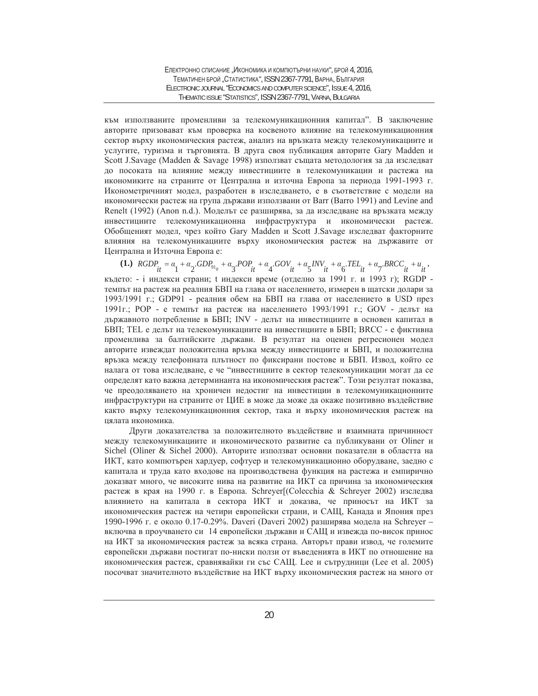към използваните променливи за телекомуникационния капитал". В заключение авторите призовават към проверка на косвеното влияние на телекомуникационния сектор върху икономическия растеж, анализ на връзката между телекомуникациите и услугите, туризма и търговията. В друга своя публикация авторите Gary Madden и Scott J.Savage (Madden & Savage 1998) използват същата методология за да изследват до посоката на влияние между инвестициите в телекомуникации и растежа на икономиките на страните от Централна и източна Европа за периода 1991-1993 г. Иконометричният модел, разработен в изследването, е в съответствие с модели на икономически растеж на група държави използвани от Barr (Barro 1991) and Levine and Renelt (1992) (Anon n.d.). Моделът се разширява, за да изследване на връзката между инвестициите телекомуникационна инфраструктура и икономически растеж. Обобщеният модел, чрез който Gary Madden и Scott J.Savage изследват факторните влияния на телекомуникациите върху икономическия растеж на държавите от Централна и Източна Европа е:

(1.)  $RGDP_{it} = \alpha_1 + \alpha_2 \cdot GDP_{g_{l_{it}}} + \alpha_3 \cdot POP_{it} + \alpha_4 \cdot GOV_{it} + \alpha_5 \cdot INV_{it} + \alpha_6 \cdot TEL_{it} + \alpha_7 \cdot BACC_{it} + u_{it}$ където: - і индекси страни; t индекси време (отделно за 1991 г. и 1993 г); RGDP темпът на растеж на реалния БВП на глава от населението, измерен в щатски долари за 1993/1991 г.; GDP91 - реалния обем на БВП на глава от населението в USD през 1991г.; РОР - е темпът на растеж на населението 1993/1991 г.; GOV - делът на държавното потребление в БВП; INV - делът на инвестициите в основен капитал в БВП; ТЕL е делът на телекомуникациите на инвестициите в БВП; ВКСС - е фиктивна променлива за балтийските държави. В резултат на оценен регресионен модел авторите извеждат положителна връзка между инвестициите и БВП, и положителна връзка между телефонната плътност по фиксирани постове и БВП. Извод, който се налага от това изследване, е че "инвестициите в сектор телекомуникации могат да се определят като важна детерминанта на икономическия растеж". Този резултат показва, че преодоляването на хроничен недостиг на инвестиции в телекомуникационните инфраструктури на страните от ЦИЕ в може да може да окаже позитивно въздействие както върху телекомуникационния сектор, така и върху икономическия растеж на цялата икономика.

Други доказателства за положителното въздействие и взаимната причинност между телекомуникациите и икономическото развитие са публикувани от Oliner и Sichel (Oliner & Sichel 2000). Авторите използват основни показатели в областта на ИКТ, като компютърен хардуер, софтуер и телекомуникационно оборудване, заедно с капитала и труда като входове на производствена функция на растежа и емпирично доказват много, че високите нива на развитие на ИКТ са причина за икономическия растеж в края на 1990 г. в Европа. Schreyer [(Colecchia & Schreyer 2002) изследва влиянието на капитала в сектора ИКТ и доказва, че приносът на ИКТ за икономическия растеж на четири европейски страни, и САЩ, Канада и Япония през 1990-1996 г. е около 0.17-0.29%. Daveri (Daveri 2002) разширява модела на Schreyer – включва в проучването си 14 европейски държави и САЩ и извежда по-висок принос на ИКТ за икономическия растеж за всяка страна. Авторът прави извод, че големите европейски държави постигат по-ниски ползи от въведенията в ИКТ по отношение на икономическия растеж, сравнявайки ги със САЩ. Lee и сътрудници (Lee et al. 2005) посочват значителното въздействие на ИКТ върху икономическия растеж на много от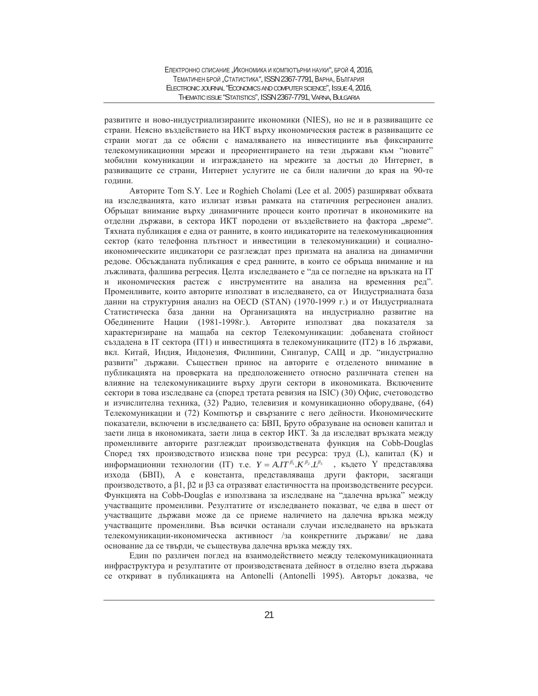развитите и ново-индустриализираните икономики (NIES), но не и в развиващите се страни. Неясно въздействието на ИКТ върху икономическия растеж в развиващите се страни могат да се обясни с намаляването на инвестициите във фиксираните телекомуникационни мрежи и преориентирането на тези държави към "новите" мобилни комуникации и изграждането на мрежите за достъп до Интернет, в развиващите се страни, Интернет услугите не са били налични до края на 90-те голини.

Авторите Tom S.Y. Lee и Roghieh Cholami (Lee et al. 2005) разширяват обхвата на изследванията, като излизат извън рамката на статичния регресионен анализ. Обръщат внимание върху динамичните процеси които протичат в икономиките на отделни държави, в сектора ИКТ породени от въздействието на фактора "време". Тяхната публикация е една от ранните, в които индикаторите на телекомуникационния сектор (като телефонна плътност и инвестиции в телекомуникации) и социалноикономическите индикатори се разглеждат през призмата на анализа на динамични редове. Обсъжданата публикация е сред ранните, в които се обръща внимание и на лъжливата, фалшива регресия. Целта изследването е "да се погледне на връзката на IT и икономическия растеж с инструментите на анализа на временния ред". Променливите, които авторите използват в изследването, са от Индустриалната база данни на структурния анализ на OECD (STAN) (1970-1999 г.) и от Индустриалната Статистическа база данни на Организацията на индустриално развитие на Обединените Нации (1981-1998г.). Авторите използват два показателя за характеризиране на мащаба на сектор Телекомуникации: добавената стойност създадена в IT сектора (IT1) и инвестицията в телекомуникациите (IT2) в 16 държави, вкл. Китай, Индия, Индонезия, Филипини, Сингапур, САЩ и др. "индустриално развити" държави. Съществен принос на авторите е отделеното внимание в публикацията на проверката на предположението относно различната степен на влияние на телекомуникациите върху други сектори в икономиката. Включените сектори в това изследване са (според третата ревизия на ISIC) (30) Офис, счетоводство и изчислителна техника, (32) Радио, телевизия и комуникационно оборудване, (64) Телекомуникации и (72) Компютър и свързаните с него дейности. Икономическите показатели, включени в изследването са: БВП, Бруто образуване на основен капитал и заети лица в икономиката, заети лица в сектор ИКТ. За да изследват връзката между променливите авторите разглеждат производствената функция на Cobb-Douglas Според тях производството изисква поне три ресурса: труд (L), капитал (K) и информационни технологии (IT) т.е.  $Y = A \cdot I T^{\beta_1} \cdot K^{\beta_2} \cdot L^{\beta_3}$ , където Y представлява изхода (БВП), А е константа, представляваща други фактори, засягащи производството, а β1, β2 и β3 са отразяват еластичността на производствените ресурси. Функцията на Cobb-Douglas е използвана за изследване на "далечна връзка" между участващите променливи. Резултатите от изследването показват, че едва в шест от участващите държави може да се приеме наличието на далечна връзка между участващите променливи. Във всички останали случаи изследването на връзката телекомуникации-икономическа активност /за конкретните държави/ не дава основание да се твърди, че съществува далечна връзка между тях.

Един по различен поглед на взаимодействието между телекомуникационната инфраструктура и резултатите от производствената дейност в отделно взета държава се откриват в публикацията на Antonelli (Antonelli 1995). Авторът доказва, че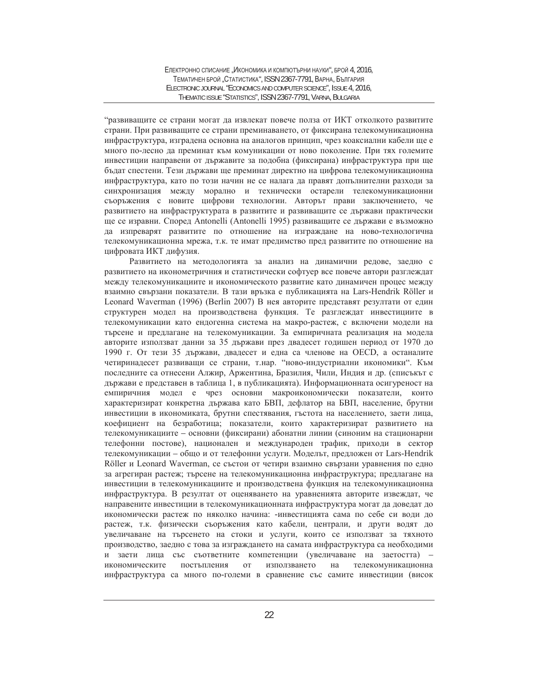"развиващите се страни могат да извлекат повече полза от ИКТ отколкото развитите страни. При развиващите се страни преминаването, от фиксирана телекомуникационна инфраструктура, изградена основна на аналогов принцип, чрез коаксиални кабели ще е много по-лесно да преминат към комуникации от ново поколение. При тях големите инвестиции направени от държавите за подобна (фиксирана) инфраструктура при ще бъдат спестени. Тези държави ще преминат директно на цифрова телекомуникационна инфраструктура, като по този начин не се налага да правят допълнителни разходи за синхронизация между морално и технически остарели телекомуникационни съоръжения с новите цифрови технологии. Авторът прави заключението, че развитието на инфраструктурата в развитите и развиващите се държави практически ще се изравни. Според Antonelli (Antonelli 1995) развиващите се държави е възможно да изпреварят развитите по отношение на изграждане на ново-технологична телекомуникационна мрежа, т.к. те имат предимство пред развитите по отношение на цифровата ИКТ дифузия.

Развитието на методологията за анализ на динамични редове, заедно с развитието на иконометричния и статистически софтуер все повече автори разглеждат между телекомуникациите и икономическото развитие като динамичен процес между взаимно свързани показатели. В тази връзка е публикацията на Lars-Hendrik Röller и Leonard Waverman (1996) (Berlin 2007) В нея авторите представят резултати от един структурен модел на производствена функция. Те разглеждат инвестициите в телекомуникации като ендогенна система на макро-растеж, с включени модели на тьрсене и предлагане на телекомуникации. За емпиричната реализация на модела авторите използват данни за 35 държави през двадесет годишен период от 1970 до 1990 г. От тези 35 държави, двадесет и една са членове на ОЕСD, а останалите четиринадесет развиващи се страни, т.нар. "ново-индустриални икономики". Към последните са отнесени Алжир, Аржентина, Бразилия, Чили, Индия и др. (списъкът с държави е представен в таблица 1, в публикацията). Информационната осигуреност на емпиричния модел е чрез основни макроикономически показатели, които характеризират конкретна държава като БВП, дефлатор на БВП, население, брутни инвестиции в икономиката, брутни спестявания, гъстота на населението, заети лица, коефициент на безработица; показатели, които характеризират развитието на телекомуникациите – основни (фиксирани) абонатни линии (синоним на стационарни телефонни постове), национален и международен трафик, приходи в сектор телекомуникации - общо и от телефонни услуги. Моделът, предложен от Lars-Hendrik Röller и Leonard Waverman, се състои от четири взаимно свързани уравнения по едно за агрегиран растеж; търсене на телекомуникационна инфраструктура; предлагане на инвестиции в телекомуникациите и производствена функция на телекомуникационна инфраструктура. В резултат от оценяването на уравненията авторите извеждат, че направените инвестиции в телекомуникационната инфраструктура могат да доведат до икономически растеж по няколко начина: -инвестицията сама по себе си води до растеж, т.к. физически съоръжения като кабели, централи, и други водят до увеличаване на търсенето на стоки и услуги, които се използват за тяхното производство, заедно с това за изграждането на самата инфраструктура са необходими и заети лица със съответните компетенции (увеличаване на заетостта) – икономическите постъпления от използването на телекомуникационна инфраструктура са много по-големи в сравнение със самите инвестиции (висок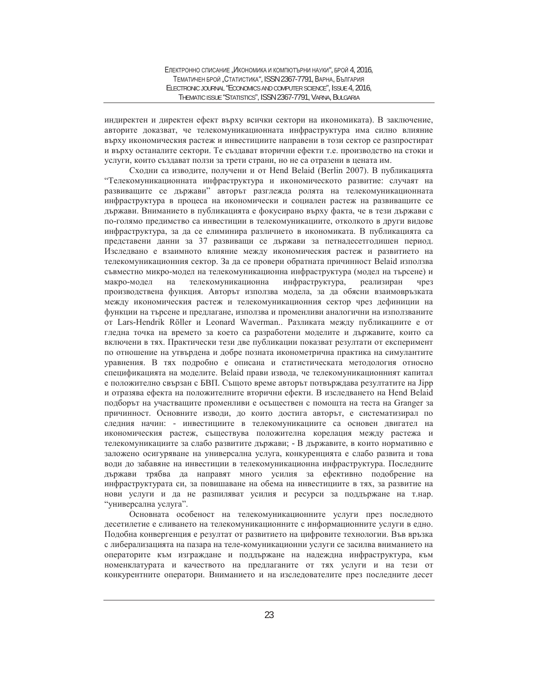индиректен и директен ефект върху всички сектори на икономиката). В заключение, авторите доказват, че телекомуникационната инфраструктура има силно влияние върху икономическия растеж и инвестициите направени в този сектор се разпростират и върху останалите сектори. Те създават вторични ефекти т.е. производство на стоки и услуги, които създават ползи за трети страни, но не са отразени в цената им.

Сходни са изводите, получени и от Hend Belaid (Berlin 2007). В публикацията "Телекомуникационната инфраструктура и икономическото развитие: случаят на развиващите се държави" авторът разглежда ролята на телекомуникационната инфраструктура в процеса на икономически и социален растеж на развиващите се държави. Вниманието в публикацията е фокусирано върху факта, че в тези държави с по-голямо предимство са инвестиции в телекомуникациите, отколкото в други видове инфраструктура, за да се елиминира различието в икономиката. В публикацията са представени данни за 37 развиващи се държави за петнадесетгодишен период. Изследвано е взаимното влияние между икономическия растеж и развитието на телекомуникационния сектор. За да се провери обратната причинност Belaid използва съвместно микро-модел на телекомуникационна инфраструктура (модел на търсене) и макро-модел на телекомуникационна инфраструктура, реализиран чрез производствена функция. Авторът използва модела, за да обясни взаимовръзката между икономическия растеж и телекомуникационния сектор чрез дефиниции на функции на търсене и предлагане, използва и променливи аналогични на използваните от Lars-Hendrik Röller и Leonard Waverman.. Разликата между публикациите е от гледна точка на времето за което са разработени моделите и държавите, които са включени в тях. Практически тези две публикации показват резултати от експеримент по отношение на утвърдена и добре позната иконометрична практика на симулантите уравнения. В тях подробно е описана и статистическата методология относно спецификацията на моделите. Belaid прави извода, че телекомуникационният капитал е положително свързан с БВП. Същото време авторът потвърждава резултатите на Јірр и отразява ефекта на положителните вторични ефекти. В изследването на Hend Belaid подборът на участващите променливи е осъществен с помощта на теста на Granger за причинност. Основните изводи, до които достига авторът, е систематизирал по следния начин: - инвестициите в телекомуникациите са основен двигател на икономическия растеж, съществува положителна корелация между растежа и телекомуникациите за слабо развитите държави; - В държавите, в които нормативно е заложено осигуряване на универсална услуга, конкуренцията е слабо развита и това води до забавяне на инвестиции в телекомуникационна инфраструктура. Последните държави трябва да направят много усилия за ефективно подобрение на инфраструктурата си, за повишаване на обема на инвестициите в тях, за развитие на нови услуги и да не разпиляват усилия и ресурси за поддържане на т.нар. "универсална услуга".

Основната особеност на телекомуникационните услуги през последното десетилетие е сливането на телекомуникационните с информационните услуги в едно. Подобна конвергенция е резултат от развитието на цифровите технологии. Във връзка с либерализацията на пазара на теле-комуникационни услуги се засилва вниманието на операторите към изграждане и поддържане на надеждна инфраструктура, към номенклатурата и качеството на предлаганите от тях услуги и на тези от конкурентните оператори. Вниманието и на изследователите през последните десет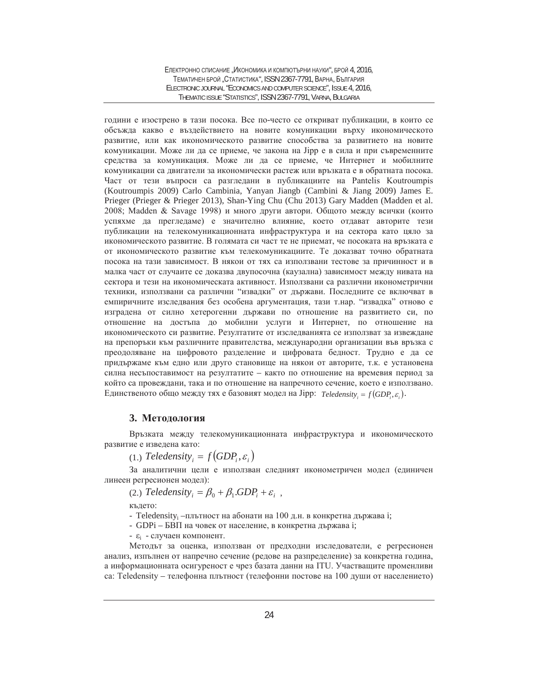години е изострено в тази посока. Все по-често се откриват публикации, в които се обсъжда какво е въздействието на новите комуникации върху икономическото развитие, или как икономическото развитие способства за развитието на новите комуникации. Може ли да се приеме, че закона на Јірр е в сила и при съвременните средства за комуникация. Може ли да се приеме, че Интернет и мобилните комуникации са двигатели за икономически растеж или връзката е в обратната посока. Част от тези въпроси са разгледани в публикациите на Pantelis Koutroumpis (Koutroumpis 2009) Carlo Cambinia, Yanyan Jiangb (Cambini & Jiang 2009) James E. Prieger (Prieger & Prieger 2013), Shan-Ying Chu (Chu 2013) Gary Madden (Madden et al.  $2008$ ; Madden & Savage 1998) и много други автори. Общото между всички (които үспяхме да прегледаме) е значително влияние, което отдават авторите тези публикации на телекомуникационната инфраструктура и на сектора като цяло за икономическото развитие. В голямата си част те не приемат, че посоката на връзката е от икономическото развитие към телекомуникациите. Те доказват точно обратната посока на тази зависимост. В някои от тях са използвани тестове за причинност и в малка част от случаите се доказва двупосочна (каузална) зависимост между нивата на сектора и тези на икономическата активност. Използвани са различни иконометрични техники, използвани са различни "извадки" от държави. Последните се включват в емпиричните изследвания без особена аргументация, тази т.нар. "извадка" отново е изградена от силно хетерогенни държави по отношение на развитието си, по отношение на достъпа до мобилни услуги и Интернет, по отношение на икономическото си развитие. Резултатите от изследванията се използват за извеждане на препоръки към различните правителства, международни организации във връзка с преодоляване на цифровото разделение и цифровата бедност. Трудно е да се придържаме към едно или друго становище на някои от авторите, т.к. е установена силна несъпоставимост на резултатите – както по отношение на времевия период за който са провеждани, така и по отношение на напречното сечение, което е използвано. Единственото общо между тях е базовият модел на Jipp: *Teledensity<sub>i</sub>* =  $f(GDP_i, \varepsilon_i)$ .

## 3. Метолология

Връзката между телекомуникационната инфраструктура и икономическото развитие е изведена като:

 $(1)$  *Teledensity*  $= f(GDP, \varepsilon)$ 

За аналитични цели е използван следният иконометричен модел (единичен линеен регресионен модел):

(2.) *Teledensity*<sub>i</sub> =  $\beta_0 + \beta_1 GDP_i + \varepsilon_i$ ,

където:

- Teledensity<sub>i</sub> –плътност на абонати на 100 д.н. в конкретна държава i;

- GDPi – БВП на човек от население, в конкретна държава i;

-  $\varepsilon_i$  - случаен компонент.

Методът за оценка, използван от предходни изследователи, е регресионен анализ, изпълнен от напречно сечение (редове на разпределение) за конкретна година, а информационната осигуреност е чрез базата данни на ITU. Участващите променливи ca: Teledensity – телефонна плътност (телефонни постове на 100 души от населението)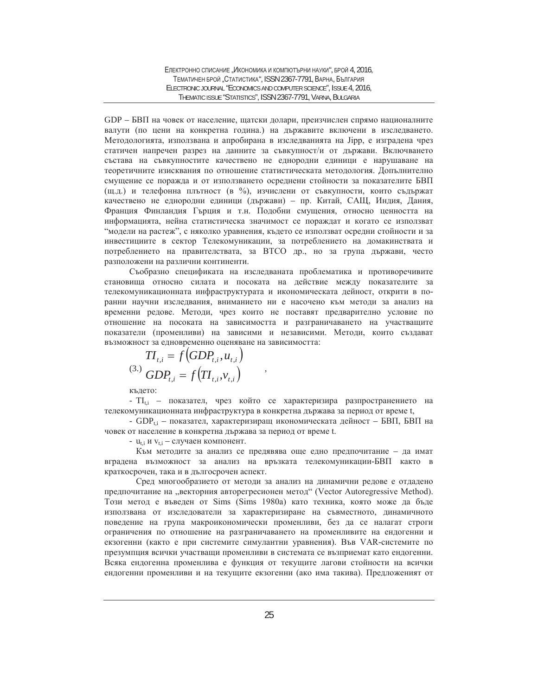GDP – БВП на човек от население, щатски долари, преизчислен спрямо националните валути (по цени на конкретна година.) на държавите включени в изследването. Методологията, използвана и апробирана в изследванията на Јірр, е изградена чрез статичен напречен разрез на данните за съвкупност/и от държави. Включването състава на съвкупностите качествено не еднородни единици е нарушаване на теоретичните изисквания по отношение статистическата методология. Допълнително смущение се поражда и от използването осреднени стойности за показателите БВП (щ.д.) и телефонна плътност (в %), изчислени от съвкупности, които съдържат качествено не еднородни единици (държави) – пр. Китай, САЩ, Индия, Дания, Франция Финландия Гърция и т.н. Подобни смущения, относно ценността на информацията, нейна статистическа значимост се пораждат и когато се използват "модели на растеж", с няколко уравнения, където се използват осредни стойности и за инвестициите в сектор Телекомуникации, за потреблението на домакинствата и потреблението на правителствата, за ВТСО др., но за група държави, често разположени на различни континенти.

Съобразно спецификата на изследваната проблематика и противоречивите становища относно силата и посоката на действие между показателите за телекомуникационната инфраструктурата и икономическата дейност, открити в поранни научни изследвания, вниманието ни е насочено към методи за анализ на временни редове. Методи, чрез които не поставят предварително условие по отношение на посоката на зависимостта и разграничаването на участващите показатели (променливи) на зависими и независими. Методи, които създават възможност за едновременно оценяване на зависимостта:

$$
TI_{t,i} = f\big(GDP_{t,i}, u_{t,i}\big)
$$
  
(3.) 
$$
GDP_{t,i} = f\big( TI_{t,i}, v_{t,i}\big)
$$

кълето:

-  $TI_{ti}$  – показател, чрез който се характеризира разпространението на телекомуникационната инфраструктура в конкретна държава за период от време t,

,

- GDP<sub>t.i</sub> – показател, характеризиращ икономическата дейност – БВП, БВП на човек от население в конкретна държава за период от време t.

-  $u_{t,i}$  и  $v_{t,i}$  – случаен компонент.

Към методите за анализ се предявява още едно предпочитание – да имат вградена възможност за анализ на връзката телекомуникации-БВП както в краткосрочен, така и в дългосрочен аспект.

Сред многообразието от методи за анализ на динамични редове е отдадено предпочитание на "векторния авторегресионен метод" (Vector Autoregressive Method). Този метод е въведен от Sims (Sims 1980a) като техника, която може да бъде използвана от изследователи за характеризиране на съвместното, динамичното поведение на група макроикономически променливи, без да се налагат строги ограничения по отношение на разграничаването на променливите на ендогенни и екзогенни (както е при системите симулантни уравнения). Във VAR-системите по презумпция всички участващи променливи в системата се възприемат като ендогенни. Всяка ендогенна променлива е функция от текущите лагови стойности на всички ендогенни променливи и на текущите екзогенни (ако има такива). Предложеният от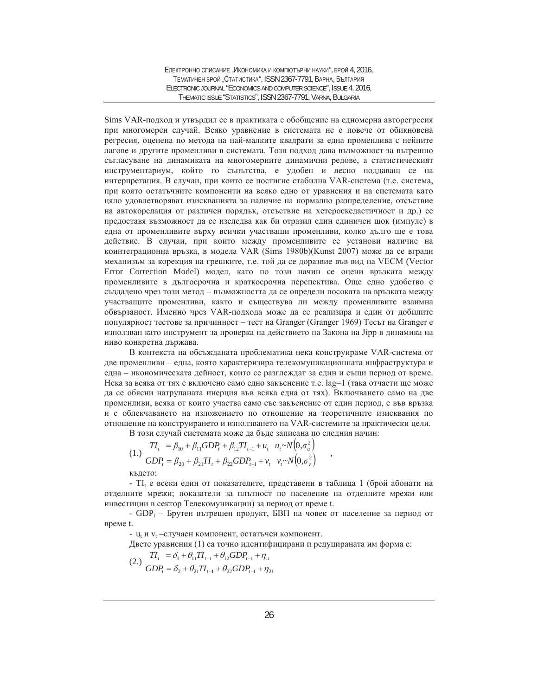Sims VAR-подход и утвърдил се в практиката е обобщение на едномерна авторегресия при многомерен случай. Всяко уравнение в системата не е повече от обикновена регресия, оценена по метода на най-малките квадрати за една променлива с нейните лагове и другите променливи в системата. Този подход дава възможност за вътрешно съгласуване на динамиката на многомерните динамични редове, а статистическият инструментариум, който го съпътства, е удобен и лесно поддаващ се на интерпретация. В случаи, при които се постигне стабилна VAR-система (т.е. система, при която остатъчните компоненти на всяко едно от уравнения и на системата като цяло удовлетворяват изискванията за наличие на нормално разпределение, отсъствие на автокорелация от различен порядък, отсъствие на хетероскедастичност и др.) се предоставя възможност да се изследва как би отразил един единичен шок (импулс) в една от променливите върху всички участващи променливи, колко дълго ще е това действие. В случаи, при които между променливите се установи наличие на коинтеграционна връзка, в модела VAR (Sims 1980b)(Kunst 2007) може да се вгради механизъм за корекция на грешките, т.е. той да се доразвие във вид на VECM (Vector Error Correction Model) модел, като по този начин се оцени връзката между променливите в дългосрочна и краткосрочна перспектива. Още едно удобство е създадено чрез този метод – възможността да се определи посоката на връзката между участващите променливи, както и съществува ли между променливите взаимна обвързаност. Именно чрез VAR-подхода може да се реализира и един от добилите популярност тестове за причинност – тест на Granger (Granger 1969) Тесът на Granger е използван като инструмент за проверка на действието на Закона на Јірр в динамика на ниво конкретна държава.

В контекста на обсъжданата проблематика нека конструираме VAR-система от две променливи - една, която характеризира телекомуникационната инфраструктура и една – икономическата дейност, които се разглеждат за един и същи период от време. Нека за всяка от тях е включено само едно закъснение т.е. lag=1 (така отчасти ще може да се обясни натрупаната инерция във всяка една от тях). Включването само на две променливи, всяка от които участва само със закъснение от един период, е във връзка и с облекчаването на изложението по отношение на теоретичните изисквания по отношение на конструирането и използването на VAR-системите за практически цели.

В този случай системата може да бъде записана по следния начин:

$$
(1.) \quad \frac{TI_t}{GDP_t} = \beta_{10} + \beta_{11} GDP_t + \beta_{12} TI_{t-1} + u_t \quad u_t \sim N(0, \sigma_u^2)
$$
\n
$$
GDP_t = \beta_{20} + \beta_{21} TI_t + \beta_{22} GDP_{t-1} + v_t \quad v_t \sim N(0, \sigma_v^2)
$$

кълето:

- TI<sub>t</sub> е всеки един от показателите, представени в таблица 1 (брой абонати на отделните мрежи; показатели за плътност по население на отделните мрежи или инвестиции в сектор Телекомуникации) за период от време t.

- GDP<sub>t</sub> – Брутен вътрешен продукт, БВП на човек от население за период от време t.

- u<sub>t</sub> и v<sub>t</sub> –случаен компонент, остатьчен компонент.

Двете уравнения (1) са точно идентифицирани и редуцираната им форма е:

(2.) 
$$
\frac{TI_{t}}{GDP_{t}} = \delta_{1} + \theta_{11}TI_{t-1} + \theta_{12}GDP_{t-1} + \eta_{1t}
$$

$$
GDP_{t} = \delta_{2} + \theta_{21}TI_{t-1} + \theta_{22}GDP_{t-1} + \eta_{2t}
$$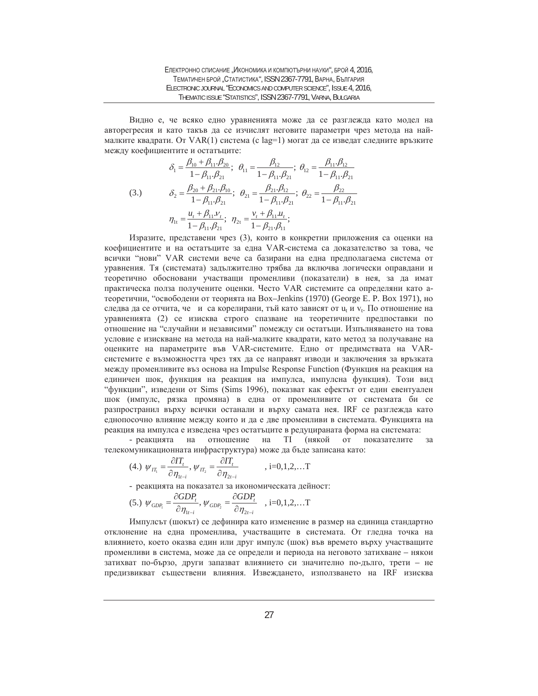Видно е, че всяко едно уравненията може да се разглежда като модел на авторегресия и като такъв да се изчислят неговите параметри чрез метода на наймалките квадрати. От VAR(1) система (с lag=1) могат да се изведат следните връзките между коефициентите и остатъците:

(3.)  
\n
$$
\delta_1 = \frac{\beta_{10} + \beta_{11} \cdot \beta_{20}}{1 - \beta_{11} \cdot \beta_{21}}; \ \theta_{11} = \frac{\beta_{12}}{1 - \beta_{11} \cdot \beta_{21}}; \ \theta_{12} = \frac{\beta_{11} \cdot \beta_{12}}{1 - \beta_{11} \cdot \beta_{21}}
$$
\n(3.)  
\n
$$
\delta_2 = \frac{\beta_{20} + \beta_{21} \cdot \beta_{10}}{1 - \beta_{11} \cdot \beta_{21}}; \ \theta_{21} = \frac{\beta_{21} \cdot \beta_{12}}{1 - \beta_{11} \cdot \beta_{21}}; \ \theta_{22} = \frac{\beta_{22}}{1 - \beta_{11} \cdot \beta_{21}}
$$
\n
$$
\eta_{1t} = \frac{u_t + \beta_{11} v_t}{1 - \beta_{11} \cdot \beta_{21}}; \ \eta_{2t} = \frac{v_t + \beta_{11} u_t}{1 - \beta_{21} \cdot \beta_{11}};
$$

Изразите, представени чрез (3), които в конкретни приложения са оценки на коефициентите и на остатъците за една VAR-система са доказателство за това, че всички "нови" VAR системи вече са базирани на една предполагаема система от уравнения. Тя (системата) задължително трябва да включва логически оправдани и теоретично обосновани участващи променливи (показатели) в нея, за да имат практическа полза получените оценки. Често VAR системите са определяни като атеоретични, "освободени от теорията на Box-Jenkins (1970) (George E. P. Box 1971), но следва да се отчита, че и са корелирани, тъй като зависят от  $u_t$  и  $v_t$ . По отношение на уравненията (2) се изисква строго спазване на теоретичните предпоставки по отношение на "случайни и независими" помежду си остатъци. Изпълняването на това условие е изискване на метода на най-малките квадрати, като метод за получаване на оценките на параметрите във VAR-системите. Едно от предимствата на VARсистемите е възможността чрез тях да се направят изводи и заключения за връзката между променливите въз основа на Impulse Response Function (Функция на реакция на единичен шок, функция на реакция на импулса, импулсна функция). Този вид "функции", изведени от Sims (Sims 1996), показват как ефектът от един евентуален шок (импулс, рязка промяна) в една от променливите от системата би се разпространил върху всички останали и върху самата нея. IRF се разглежда като еднопосочно влияние между които и да е две променливи в системата. Функцията на реакция на импулса е изведена чрез остатъците в редуцираната форма на системата:

- реакцията на отношение на ТI (някой от показателите за телекомуникационната инфраструктура) може да бъде записана като:

(4.) 
$$
\psi_{\Pi_1} = \frac{\partial I T_t}{\partial \eta_{1t-i}}, \psi_{\Pi_2} = \frac{\partial I T_t}{\partial \eta_{2t-i}}
$$
, i=0,1,2,...T

- реакцията на показател за икономическата дейност:

$$
(5.)\ \ \mathcal{W}_{GDP_1} = \frac{\partial GDP_r}{\partial \eta_{1t-i}},\ \mathcal{W}_{GDP_2} = \frac{\partial GDP_r}{\partial \eta_{2t-i}}\ \ , i=0,1,2,...T
$$

Импулсът (шокът) се дефинира като изменение в размер на единица стандартно отклонение на една променлива, участващите в системата. От гледна точка на влиянието, което оказва един или друг импулс (шок) във времето върху участващите променливи в система, може да се определи и периода на неговото затихване – някои затихват по-бързо, други запазват влиянието си значително по-дълго, трети – не предизвикват съществени влияния. Извеждането, използването на IRF изисква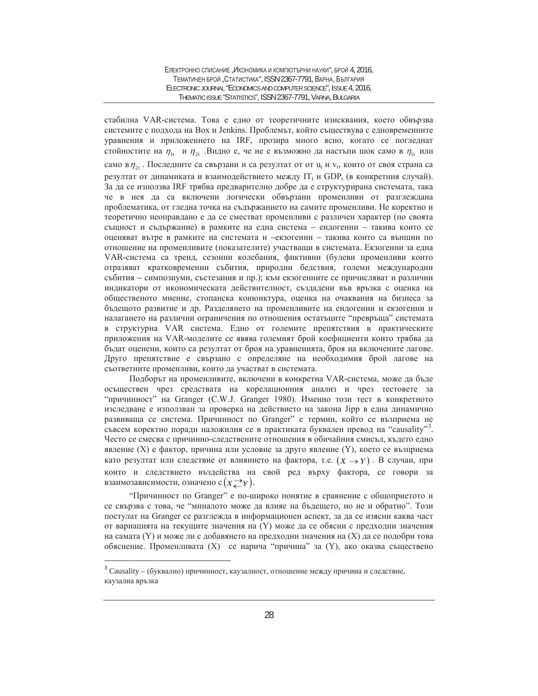стабилна VAR-система. Това е едно от теоретичните изисквания, което обвързва системите с подхода на Вох и Jenkins. Проблемът, който съществува с едновременните уравнения и приложението на IRF, прозира много ясно, когато се погледнат стойностите на  $\eta_{1t}$  и  $\eta_{2t}$ . Видно е, че не е възможно да настъпи шок само в  $\eta_{1t}$  или само в  $\eta_{2t}$ . Последните са свързани и са резултат от от и<sub>ч</sub> и  $v_t$ , които от своя страна са резултат от динамиката и взаимодействието между  $IT_t$  и GDP<sub>t</sub> (в конкретния случай). За да се използва IRF трябва предварително добре да е структурирана системата, така че в нея да са включени логически обвързани променливи от разглеждана проблематика, от гледна точка на съдържанието на самите променливи. Не коректно и теоретично неоправдано е да се сместват променливи с различен характер (по своята същност и съдържание) в рамките на една система – ендогенни – такива които се оценяват вътре в рамките на системата и –екзогенни – такива които са външни по отношение на променливите (показателите) участващи в системата. Екзогенни за една VAR-система са тренд, сезонни колебания, фиктивни (булеви променливи които отразяват кратковременни събития, природни бедствия, големи международни събития – симпозиуми, състезания и пр.); към екзогенните се причисляват и различни индикатори от икономическата действителност, създадени във връзка с оценка на общественото мнение, стопанска конюнктура, оценка на очаквания на бизнеса за бъдещото развитие и др. Разделянето на променливите на ендогенни и екзогенни и налагането на различни ограничения по отношения остатъците "превръща" системата в структурна VAR система. Едно от големите препятствия в практическите приложения на VAR-моделите се явява големият брой коефициенти които трябва да бъдат оценени, които са резултат от броя на уравненията, броя на включените лагове. Друго препятствие е свързано с определяне на необходимия брой лагове на съответните променливи, които да участват в системата.

Подборът на променливите, включени в конкретна VAR-система, може да бъде осъществен чрез средствата на корелационния анализ и чрез тестовете за "причинност" на Granger (C.W.J. Granger 1980). Именно този тест в конкретното изследване е използван за проверка на действието на закона Јірр в една динамично развиваща се система. Причинност по Granger" е термин, който се възприема не .<br>съвсем коректно поради наложилия се в практиката буквален превод на "causality"<sup>3</sup>. Често се смесва с причинно-следствените отношения в обичайния смисъл, където едно явление (X) е фактор, причина или условие за друго явление (Y), което се възприема като резултат или следствие от влиянието на фактора, т.е.  $(X \rightarrow Y)$ . В случаи, при които и следствието въздейства на свой ред върху фактора, се говори за взаимозависимости, означено с $(x{\to\atop \leftarrow}r).$ 

"Причинност по Granger" е по-широко понятие в сравнение с общоприетото и се свързва с това, че "миналото може да влияе на бъдещето, но не и обратно". Този постулат на Granger се разглежда в информационен аспект, за да се изясни каква част от вариацията на текущите значения на (Y) може да се обясни с предходни значения на самата (Y) и може ли с добавянето на предходни значения на (X) да се подобри това обяснение. Променливата (X) се нарича "причина" за (Y), ако оказва съществено

 $\overline{a}$ 

 $3$  Causality – (буквално) причинност, каузалност, отношение между причина и следствие, каузална връзка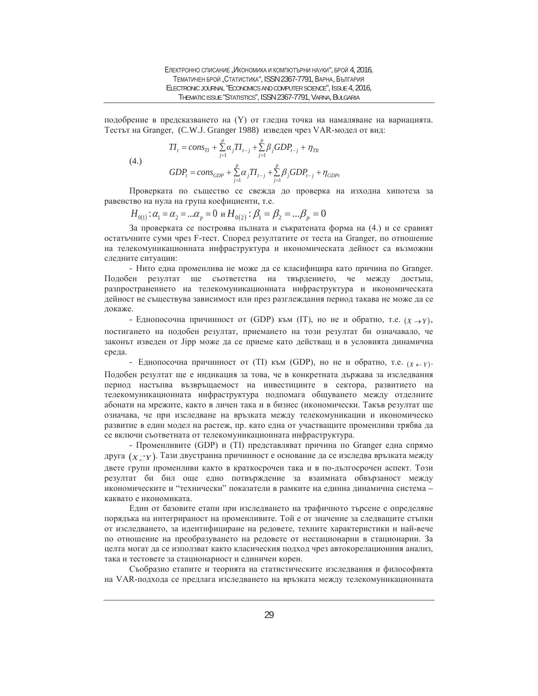подобрение в предсказването на (Y) от гледна точка на намаляване на вариацията. Тестът на Granger, (C.W.J. Granger 1988) изведен чрез VAR-модел от вид:

(4.)  
\n
$$
TI_{t} = cons_{Tl} + \sum_{j=1}^{p} \alpha_{j}TI_{t-j} + \sum_{j=1}^{p} \beta_{j}GDP_{t-j} + \eta_{Th}
$$
\n
$$
GDP_{t} = cons_{GDP} + \sum_{j=1}^{p} \alpha_{j}TI_{t-j} + \sum_{j=1}^{p} \beta_{j}GDP_{t-j} + \eta_{GDPt}
$$

Проверката по същество се свежда до проверка на изходна хипотеза за равенство на нула на група коефициенти, т.е.

$$
H_{0(1)}: \alpha_1 = \alpha_2 = ... \alpha_p = 0 \text{ if } H_{0(2)}: \beta_1 = \beta_2 = ... \beta_p = 0
$$

За проверката се построява пълната и съкратената форма на (4.) и се сравнят остатьчните суми чрез F-тест. Според резултатите от теста на Granger, по отношение на телекомуникационната инфраструктура и икономическата дейност са възможни следните ситуации:

- Нито една променлива не може да се класифицира като причина по Granger. Подобен резултат ще съответства на твърдението, че между достъпа, разпространението на телекомуникационната инфраструктура и икономическата дейност не съществува зависимост или през разглеждания период такава не може да се докаже.

- Еднопосочна причинност от (GDP) към (IT), но не и обратно, т.е.  $(X \rightarrow Y)$ , постигането на подобен резултат, приемането на този резултат би означавало, че законът изведен от Јірр може да се приеме като действащ и в условията динамична среда.

- Еднопосочна причинност от (TI) към (GDP), но не и обратно, т.е.  $(x \leftarrow r)$ . Подобен резултат ще е индикация за това, че в конкретната държава за изследвания период настыпва възвръщаемост на инвестициите в сектора, развитието на телекомуникационната инфраструктура подпомага общуването между отделните абонати на мрежите, както в личен така и в бизнес (икономически. Такъв резултат ще означава, че при изследване на връзката между телекомуникации и икономическо развитие в един модел на растеж, пр. като една от участващите променливи трябва да се включи съответната от телекомуникационната инфраструктура.

- Променливите (GDP) и (TI) представляват причина по Granger една спрямо друга (*x* ≥*r*). Тази двустранна причинност е основание да се изследва връзката между двете групи променливи както в краткосрочен така и в по-дългосрочен аспект. Този резултат би бил още едно потвърждение за взаимната обвързаност между икономическите и "технически" показатели в рамките на единна динамична система каквато е икономиката.

Един от базовите етапи при изследването на трафичното търсене е определяне порядъка на интегрираност на променливите. Той е от значение за следващите стъпки от изследването, за идентифициране на редовете, техните характеристики и най-вече по отношение на преобразуването на редовете от нестационарни в стационарни. За целта могат да се използват както класическия подход чрез автокорелационния анализ, така и тестовете за стационарност и единичен корен.

Съобразно етапите и теорията на статистическите изследвания и философията на VAR-подхода се предлага изследването на връзката между телекомуникационната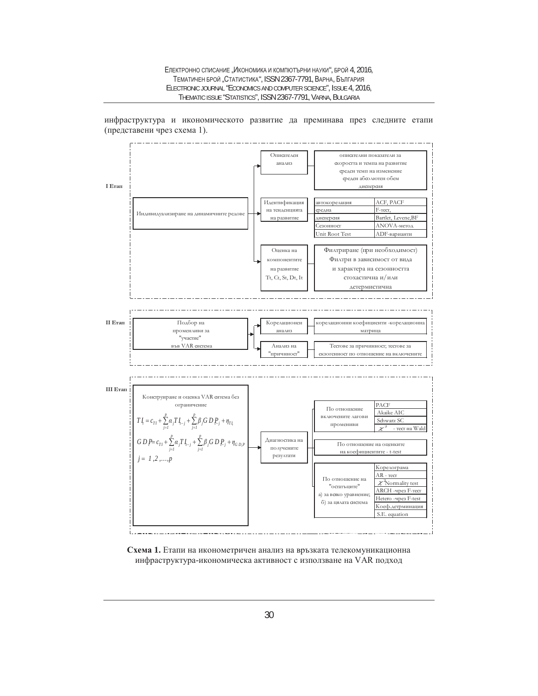#### ЕЛЕКТРОННО СПИСАНИЕ "ИКОНОМИКА И КОМПЮТЪРНИ НАУКИ", БРОЙ 4, 2016, ТЕМАТИЧЕН БРОЙ "СТАТИСТИКА", ISSN 2367-7791, ВАРНА, БЪЛГАРИЯ ELECTRONIC JOURNAL "ECONOMICS AND COMPUTER SCIENCE", ISSUE 4, 2016, THEMATIC ISSUE "STATISTICS", ISSN 2367-7791, VARNA, BULGARIA



инфраструктура и икономическото развитие да преминава през следните етапи (представени чрез схема 1).

Схема 1. Етапи на иконометричен анализ на връзката телекомуникационна инфраструктура-икономическа активност с използване на VAR подход

' '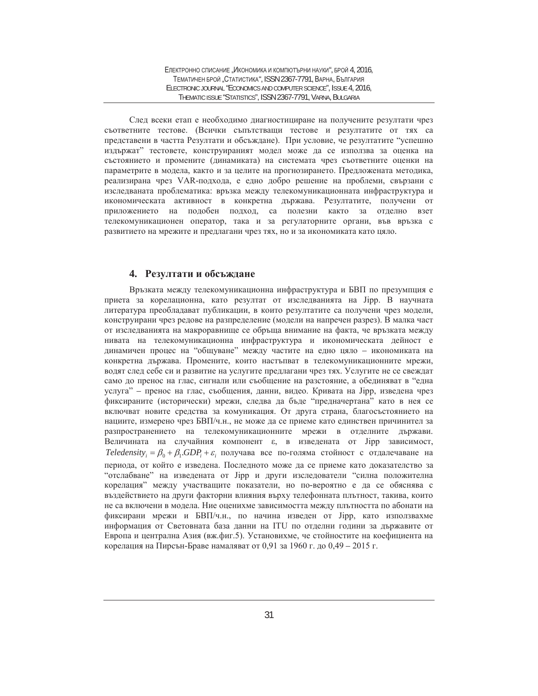След всеки етап е необходимо диагностициране на получените резултати чрез съответните тестове. (Всички съпътстващи тестове и резултатите от тях са представени в частта Резултати и обсъждане). При условие, че резултатите "успешно издържат" тестовете, конструираният модел може да се използва за оценка на състоянието и промените (динамиката) на системата чрез съответните оценки на параметрите в модела, както и за целите на прогнозирането. Предложената методика, реализирана чрез VAR-подхода, е едно добро решение на проблеми, свързани с изследваната проблематика: връзка между телекомуникационната инфраструктура и икономическата активност в конкретна държава. Резултатите, получени от приложението на подобен подход, са полезни както за отделно взет телекомуникационен оператор, така и за регулаторните органи, във връзка с развитието на мрежите и предлагани чрез тях, но и за икономиката като цяло.

# 4. Резултати и обсъждане

Връзката между телекомуникационна инфраструктура и БВП по презумпция е приета за корелационна, като резултат от изследванията на Јірр. В научната литература преобладават публикации, в които резултатите са получени чрез модели, конструирани чрез редове на разпределение (модели на напречен разрез). В малка част от изследванията на макроравнище се обръща внимание на факта, че връзката между нивата на телекомуникационна инфраструктура и икономическата дейност е динамичен процес на "общуване" между частите на едно цяло – икономиката на конкретна държава. Промените, които настъпват в телекомуникационните мрежи, водят след себе си и развитие на услугите предлагани чрез тях. Услугите не се свеждат само до пренос на глас, сигнали или съобщение на разстояние, а обединяват в "една услуга" – пренос на глас, съобщения, данни, видео. Кривата на Јірр, изведена чрез фиксираните (исторически) мрежи, следва да бъде "предначертана" като в нея се включват новите средства за комуникация. От друга страна, благосъстоянието на нациите, измерено чрез БВП/ч.н., не може да се приеме като единствен причинител за разпространението на телекомуникационните мрежи в отделните държави. Величината на случайния компонент  $\varepsilon$ , в изведената от Jipp зависимост,  $Teledensity_i = \beta_0 + \beta_1 GDP_i + \varepsilon_i$  получава все по-голяма стойност с отдалечаване на периода, от който е изведена. Последното може да се приеме като доказателство за "отслабване" на изведената от Jipp и други изследователи "силна положителна корелация" между участващите показатели, но по-вероятно е да се обяснява с въздействието на други факторни влияния върху телефонната плътност, такива, които не са включени в модела. Ние оценихме зависимостта между плътността по абонати на фиксирани мрежи и БВП/ч.н., по начина изведен от Јірр, като използвахме информация от Световната база данни на ITU по отделни години за държавите от Европа и централна Азия (вж.фиг.5). Установихме, че стойностите на коефициента на корелация на Пирсън-Браве намаляват от 0,91 за 1960 г. до 0,49 – 2015 г.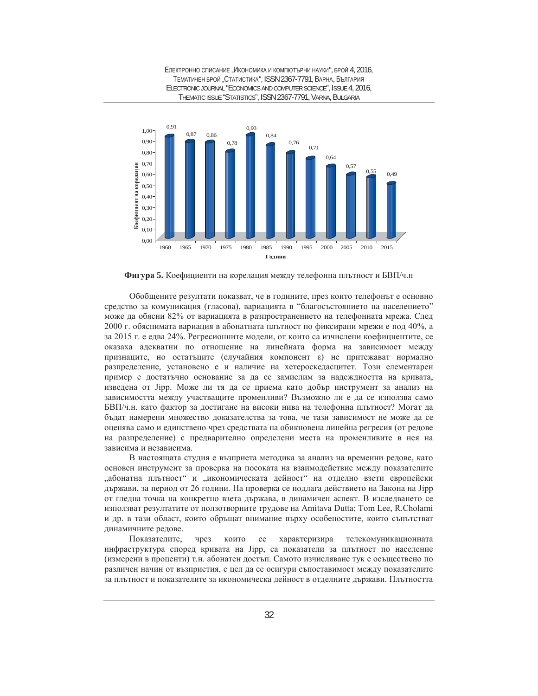

Фигура 5. Коефициенти на корелация между телефонна плътност и БВП/ч.н

Обобщените резултати показват, че в годините, през които телефонът е основно средство за комуникация (гласова), вариацията в "благосъстоянието на населението" може да обясни 82% от вариацията в разпространението на телефонната мрежа. След 2000 г. обяснимата вариация в абонатната плътност по фиксирани мрежи е под 40%, а за 2015 г. е едва 24%. Регресионните модели, от които са изчислени коефициентите, се оказаха адекватни по отношение на линейната форма на зависимост между признаците, но остатъците (случайния компонент ε) не притежават нормално разпределение, установено е и наличие на хетероскедасцитет. Този елементарен пример е достатъчно основание за да се замислим за надеждността на кривата, изведена от Јірр. Може ли тя да се приема като добър инструмент за анализ на зависимостта между участващите променливи? Възможно ли е да се използва само БВП/ч.н. като фактор за достигане на високи нива на телефонна плътност? Могат да бъдат намерени множество доказателства за това, че тази зависимост не може да се оценява само и единствено чрез средствата на обикновена линейна регресия (от редове на разпределение) с предварително определени места на променливите в нея на зависима и независима.

В настоящата студия е възприета методика за анализ на временни редове, като основен инструмент за проверка на посоката на взаимодействие между показателите "абонатна плътност" и "икономическата дейност" на отделно взети европейски държави, за период от 26 години. На проверка се подлага действието на Закона на Јірр от гледна точка на конкретно взета държава, в динамичен аспект. В изследването се използват резултатите от ползотворните трудове на Amitava Dutta; Tom Lee, R.Cholami и др. в тази област, които обръщат внимание върху особеностите, които съпътстват динамичните редове.

Показателите, чрез които се характеризира телекомуникационната инфраструктура според кривата на Јірр, са показатели за плътност по население (измерени в проценти) т.н. абонатен достъп. Самото изчисляване тук е осъществено по различен начин от възприетия, с цел да се осигури съпоставимост между показателите за плътност и показателите за икономическа дейност в отделните държави. Плътността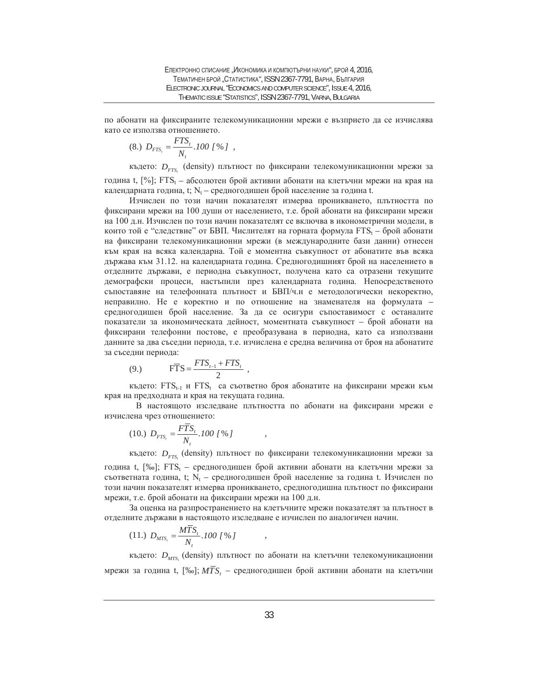по абонати на фиксираните телекомуникационни мрежи е възприето да се изчислява като се използва отношението.

$$
(8.)\ \ D_{FTS_t} = \frac{FTS_t}{N_t} .100\; [ \,\% \,] \ ,
$$

където:  $D_{\text{FTS}_t}$  (density) плътност по фиксирани телекомуникационни мрежи за година t, [%]; FTS<sub>t</sub> – абсолютен брой активни абонати на клетъчни мрежи на края на календарната година, t; N<sub>t</sub> – средногодишен брой население за година t.

Изчислен по този начин показателят измерва проникването, плътността по фиксирани мрежи на 100 души от населението, т.е. брой абонати на фиксирани мрежи на 100 д.н. Изчислен по този начин показателят се включва в иконометрични модели, в които той е "следствие" от БВП. Числителят на горната формула  $FTS_t$  – брой абонати на фиксирани телекомуникационни мрежи (в международните бази данни) отнесен към края на всяка календарна. Той е моментна съвкупност от абонатите във всяка държава към 31.12. на календарната година. Средногодишният брой на населението в отделните държави, е периодна съвкупност, получена като са отразени текущите демографски процеси, настыпили през календарната година. Непосредственото съпоставяне на телефонната плътност и БВП/ч.н е методологически некоректно, неправилно. Не е коректно и по отношение на знаменателя на формулата – средногодишен брой население. За да се осигури съпоставимост с останалите показатели за икономическата дейност, моментната съвкупност – брой абонати на фиксирани телефонни постове, е преобразувана в периодна, като са използвани данните за два съседни периода, т.е. изчислена е средна величина от броя на абонатите за съседни периода:

$$
(9.) \t\t F\overline{T}S = \frac{FTS_{t-1} + FTS_t}{2} ,
$$

където: FTS<sub>t-1</sub> и FTS<sub>t</sub> са съответно броя абонатите на фиксирани мрежи към края на предходната и края на текущата година.

В настоящото изследване плътността по абонати на фиксирани мрежи е изчислена чрез отношението:

$$
(10.)\ \ D_{FTS_t} = \frac{F\overline{T}S_t}{N_t}.100\; [ \%\; ]\qquad ,
$$

където:  $D_{\text{FTS}_t}$  (density) плътност по фиксирани телекомуникационни мрежи за година t, [‰]; FTS<sub>t</sub> – средногодишен брой активни абонати на клетъчни мрежи за съответната година, t; N<sub>t</sub> – средногодишен брой население за година t. Изчислен по този начин показателят измерва проникването, средногодишна плътност по фиксирани мрежи, т.е. брой абонати на фиксирани мрежи на 100 д.н.

За оценка на разпространението на клетъчните мрежи показателят за плътност в отделните държави в настоящото изследване е изчислен по аналогичен начин.

$$
(11.)\ \ D_{MTS_i} = \frac{MTS_i}{N_t}.100\;1\% \;J\qquad ,
$$

където:  $D_{\rm \scriptscriptstyle MTS_{\rm \scriptscriptstyle J}}$  (density) плътност по абонати на клетъчни телекомуникационни мрежи за година t, [‰];  $M\overline{TS}_{t}$  – средногодишен брой активни абонати на клетъчни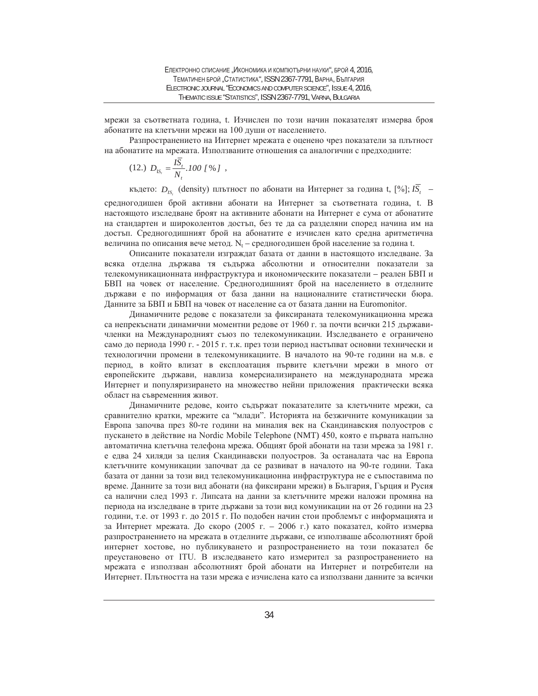мрежи за съответната година, t. Изчислен по този начин показателят измерва броя абонатите на клетъчни мрежи на 100 души от населението.

Разпространението на Интернет мрежата е оценено чрез показатели за плътност на абонатите на мрежата. Използваните отношения са аналогични с предходните:

$$
(12.)\ \ D_{\text{IS}_t} = \frac{I\overline{S}_t}{N_t}.100\; [ \%\; ]\;,
$$

където:  $D_{IS}$  (density) плътност по абонати на Интернет за година t, [%];  $I\overline{S}$ ,  $-$ 

средногодишен брой активни абонати на Интернет за съответната година, t. В настоящото изследване броят на активните абонати на Интернет е сума от абонатите на стандартен и широколентов достъп, без те да са разделяни според начина им на достъп. Средногодишният брой на абонатите е изчислен като средна аритметична величина по описания вече метод.  $N_t$  – средногодишен брой население за година t.

Описаните показатели изграждат базата от данни в настоящото изследване. За всяка отделна държава тя съдържа абсолютни и относителни показатели за телекомуникационната инфраструктура и икономическите показатели – реален БВП и БВП на човек от население. Средногодишният брой на населението в отделните държави е по информация от база данни на националните статистически бюра. Данните за БВП и БВП на човек от население са от базата данни на Euromonitor.

Динамичните редове с показатели за фиксираната телекомуникационна мрежа са непрекъснати динамични моментни редове от 1960 г. за почти всички 215 държавичленки на Международният съюз по телекомуникации. Изследването е ограничено само до периода 1990 г. - 2015 г. т.к. през този период настыват основни технически и технологични промени в телекомуникациите. В началото на 90-те години на м.в. е период, в който влизат в експлоатация първите клетъчни мрежи в много от европейските държави, навлиза комерсиализирането на международната мрежа Интернет и популяризирането на множество нейни приложения практически всяка област на съвременния живот.

Динамичните редове, които съдържат показателите за клетъчните мрежи, са сравнително кратки, мрежите са "млади". Историята на безжичните комуникации за Европа започва през 80-те години на миналия век на Скандинавския полуостров с пускането в действие на Nordic Mobile Telephone (NMT) 450, която е първата напълно автоматична клетьчна телефона мрежа. Общият брой абонати на тази мрежа за 1981 г. е едва 24 хиляди за целия Скандинавски полуостров. За останалата час на Европа клетъчните комуникации започват да се развиват в началото на 90-те години. Така базата от данни за този вид телекомуникационна инфраструктура не е съпоставима по време. Данните за този вид абонати (на фиксирани мрежи) в България, Гърция и Русия са налични след 1993 г. Липсата на данни за клетъчните мрежи наложи промяна на периода на изследване в трите държави за този вид комуникации на от 26 години на 23 години, т.е. от 1993 г. до 2015 г. По подобен начин стои проблемът с информацията и за Интернет мрежата. До скоро (2005 г. – 2006 г.) като показател, който измерва разпространението на мрежата в отделните държави, се използваше абсолютният брой интернет хостове, но публикуването и разпространението на този показател бе преустановено от ITU. В изследването като измерител за разпространението на мрежата е използван абсолютният брой абонати на Интернет и потребители на Интернет. Плътността на тази мрежа е изчислена като са използвани данните за всички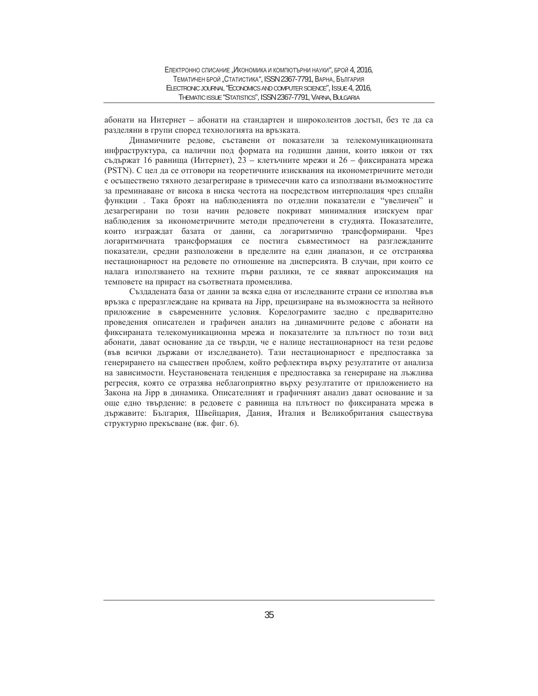абонати на Интернет – абонати на стандартен и широколентов достъп, без те да са разделяни в групи според технологията на връзката.

Динамичните редове, съставени от показатели за телекомуникационната инфраструктура, са налични под формата на годишни данни, които някои от тях съдържат 16 равнища (Интернет), 23 – клетъчните мрежи и 26 – фиксираната мрежа (PSTN). С цел да се отговори на теоретичните изисквания на иконометричните методи е осъществено тяхното дезагрегиране в тримесечни като са използвани възможностите за преминаване от висока в ниска честота на посредством интерполация чрез сплайн функции . Така броят на наблюденията по отделни показатели е "увеличен" и дезагрегирани по този начин редовете покриват минималния изискуем праг наблюдения за иконометричните методи предпочетени в студията. Показателите, които изграждат базата от данни, са логаритмично трансформирани. Чрез логаритмичната трансформация се постига съвместимост на разглежданите показатели, средни разположени в пределите на един диапазон, и се отстранява нестационарност на редовете по отношение на дисперсията. В случаи, при които се налага използването на техните първи разлики, те се явяват апроксимация на темповете на прираст на съответната променлива.

Създадената база от данни за всяка една от изследваните страни се използва във връзка с преразглеждане на кривата на Jipp, прецизиране на възможността за нейното приложение в съвременните условия. Корелограмите заедно с предварително проведения описателен и графичен анализ на динамичните редове с абонати на фиксираната телекомуникационна мрежа и показателите за плътност по този вид абонати, дават основание да се твърди, че е налице нестационарност на тези редове (във всички държави от изследването). Тази нестационарност е предпоставка за генерирането на съществен проблем, който рефлектира върху резултатите от анализа на зависимости. Неустановената тенденция е предпоставка за генериране на лъжлива регресия, която се отразява неблагоприятно върху резултатите от приложението на Закона на Јірр в динамика. Описателният и графичният анализ дават основание и за още едно твърдение: в редовете с равнища на плътност по фиксираната мрежа в държавите: България, Швейцария, Дания, Италия и Великобритания съществува структурно прекъсване (вж. фиг. 6).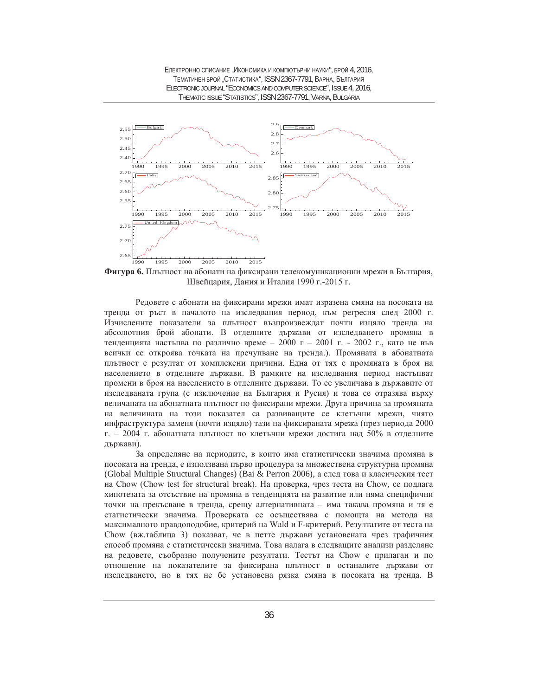

**Фигура 6.** Плътност на абонати на фиксирани телекомуникационни мрежи в България, Швейцария, Дания и Италия 1990 г.-2015 г.

Редовете с абонати на фиксирани мрежи имат изразена смяна на посоката на тренда от ръст в началото на изследвания период, към регресия след 2000 г. Изчислените показатели за плътност възпроизвеждат почти изцяло тренда на абсолютния брой абонати. В отделните държави от изследването промяна в тенденцията настъпва по различно време - 2000 г - 2001 г. - 2002 г., като не във всички се откроява точката на пречупване на тренда.). Промяната в абонатната плътност е резултат от комплексни причини. Една от тях е промяната в броя на населението в отделните държави. В рамките на изследвания период настыпват промени в броя на населението в отделните държави. То се увеличава в държавите от изследваната група (с изключение на България и Русия) и това се отразява върху величаната на абонатната плътност по фиксирани мрежи. Друга причина за промяната на величината на този показател са развиващите се клетъчни мрежи, чиято инфраструктура заменя (почти изцяло) тази на фиксираната мрежа (през периода 2000 г. – 2004 г. абонатната плътност по клетъчни мрежи достига над 50% в отделните държави).

За определяне на периодите, в които има статистически значима промяна в посоката на тренда, е използвана първо процедура за множествена структурна промяна (Global Multiple Structural Changes) (Bai & Perron 2006), а след това и класическия тест на Chow (Chow test for structural break). На проверка, чрез теста на Chow, се подлага хипотезата за отсъствие на промяна в тенденцията на развитие или няма специфични точки на прекъсване в тренда, срещу алтернативната – има такава промяна и тя е статистически значима. Проверката се осъществява с помощта на метода на максималното правдоподобие, критерий на Wald и F-критерий. Резултатите от теста на Chow (вж.таблица 3) показват, че в петте държави установената чрез графичния способ промяна е статистически значима. Това налага в следващите анализи разделяне на редовете, съобразно получените резултати. Тестът на Chow е прилаган и по отношение на показателите за фиксирана плътност в останалите държави от изследването, но в тях не бе установена рязка смяна в посоката на тренда. В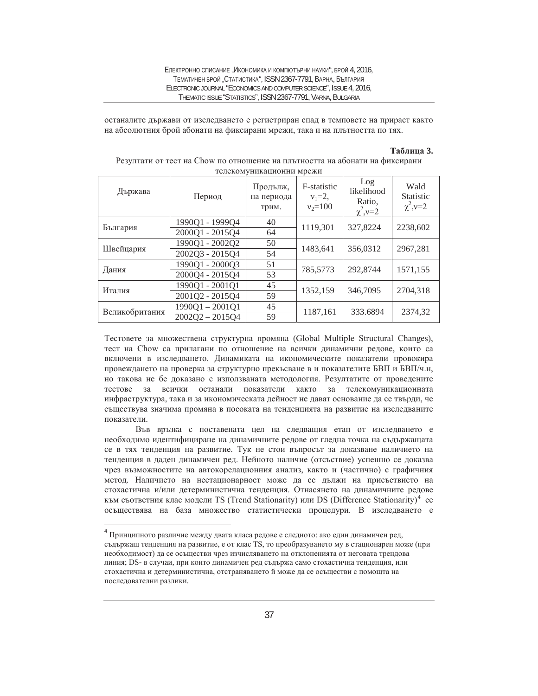останалите държави от изследването е регистриран спад в темповете на прираст както на абсолютния брой абонати на фиксирани мрежи, така и на плътността по тях.

#### **Ɍɚɛɥɢɰɚ 3.**

| Държава        | Период            | Продълж,<br>на периода<br>трим. | F-statistic<br>$v_1 = 2$ ,<br>$v_2 = 100$ | Log<br>likelihood<br>Ratio,<br>$\chi^2$ , $v=2$ | Wald<br><b>Statistic</b><br>$\chi^2$ , $v=2$ |  |
|----------------|-------------------|---------------------------------|-------------------------------------------|-------------------------------------------------|----------------------------------------------|--|
| България       | 1990Q1 - 1999Q4   | 40                              | 1119,301                                  | 327,8224                                        | 2238,602                                     |  |
|                | 2000Q1 - 2015Q4   | 64                              |                                           |                                                 |                                              |  |
| Швейцария      | 199001 - 200202   | 50                              | 1483,641                                  | 356.0312                                        | 2967.281                                     |  |
|                | 2002Q3 - 2015Q4   | 54                              |                                           |                                                 |                                              |  |
| Дания          | 199001 - 200003   | 51                              | 785,5773                                  | 292,8744                                        | 1571,155                                     |  |
|                | 2000Q4 - 2015Q4   | 53                              |                                           |                                                 |                                              |  |
| Италия         | 1990Q1 - 2001Q1   | 45                              |                                           | 346,7095                                        | 2704,318                                     |  |
|                | 2001Q2 - 2015Q4   | 59                              |                                           | 1352,159                                        |                                              |  |
|                | $1990Q1 - 2001Q1$ | 45                              |                                           |                                                 | 2374,32                                      |  |
| Великобритания | $2002O2 - 2015O4$ | 59                              |                                           | 1187,161<br>333.6894                            |                                              |  |

Резултати от тест на Chow по отношение на плътността на абонати на фиксирани телекомуникационни мрежи

Тестовете за множествена структурна промяна (Global Multiple Structural Changes), тест на Chow са прилагани по отношение на всички динамични редове, които са включени в изследването. Динамиката на икономическите показатели провокира провеждането на проверка за структурно прекъсване в и показателите БВП и БВП/ч.н, но такова не бе доказано с използваната методология. Резултатите от проведените тестове за всички останали показатели както за телекомуникационната инфраструктура, така и за икономическата дейност не дават основание да се твърди, че съществува значима промяна в посоката на тенденцията на развитие на изследваните показатели.

Във връзка с поставената цел на следващия етап от изследването е необходимо идентифициране на динамичните редове от гледна точка на съдържащата се в тях тенденция на развитие. Тук не стои въпросът за доказване наличието на тенденция в даден динамичен ред. Нейното наличие (отсъствие) успешно се доказва чрез възможностите на автокорелационния анализ, както и (частично) с графичния метод. Наличието на нестационарност може да се дължи на присъствието на стохастична и/или детерминистична тенденция. Отнасянето на динамичните редове към съответния клас модели TS (Trend Stationarity) или DS (Difference Stationarity)<sup>4</sup> се осъществява на база множество статистически процедури. В изследването е

 $\overline{a}$ 

 $4$  Принципното различие между двата класа редове е следното: ако един динамичен ред, съдържащ тенденция на развитие, е от клас TS, то преобразуването му в стационарен може (при необходимост) да се осъществи чрез изчисляването на отклоненията от неговата трендова линия; DS- в случаи, при които динамичен ред съдържа само стохастична тенденция, или стохастична и детерминистична, отстраняването й може да се осъществи с помощта на последователни разлики.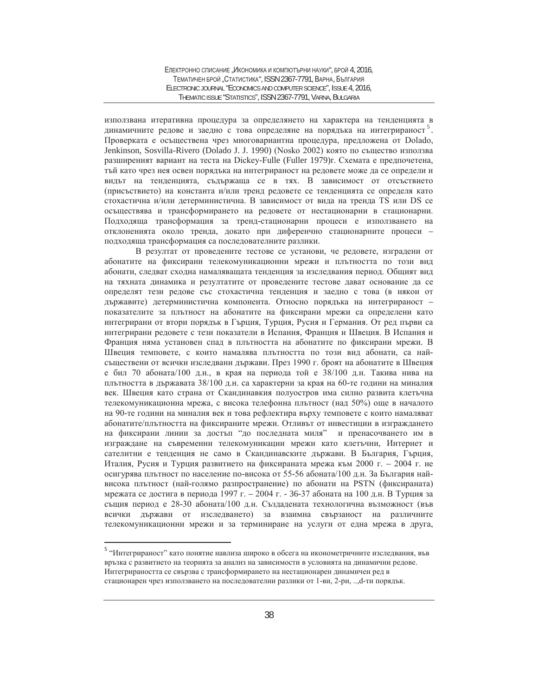използвана итеративна процедура за определянето на характера на тенденцията в динамичните редове и заедно с това определяне на порядъка на интегрираност<sup>5</sup>. Проверката е осъществена чрез многовариантна процедура, предложена от Dolado, Jenkinson, Sosvilla-Rivero (Dolado J. J. 1990) (Nosko 2002) която по същество използва разширеният вариант на теста на Dickey-Fulle (Fuller 1979)r. Схемата е предпочетена, тъй като чрез нея освен порядъка на интегрираност на редовете може да се определи и видът на тенденцията, съдържаща се в тях. В зависимост от отсъствието (присъствието) на константа и/или тренд редовете се тенденцията се определя като стохастична и/или детерминистична. В зависимост от вида на тренда TS или DS се осъществява и трансформирането на редовете от нестационарни в стационарни. Подходяща трансформация за тренд-стационарни процеси е използването на отклоненията около тренда, докато при диференчно стационарните процеси – подходяща трансформация са последователните разлики.

В резултат от проведените тестове се установи, че редовете, изградени от абонатите на фиксирани телекомуникационни мрежи и плътността по този вид абонати, следват сходна намаляващата тенденция за изследвания период. Общият вид на тяхната динамика и резултатите от проведените тестове дават основание да се определят тези редове със стохастична тенденция и заедно с това (в някои от държавите) детерминистична компонента. Относно порядъка на интегрираност – показателите за плътност на абонатите на фиксирани мрежи са определени като интегрирани от втори порядък в Гърция, Турция, Русия и Германия. От ред първи са интегрирани редовете с тези показатели в Испания, Франция и Швеция. В Испания и Франция няма установен спад в плътността на абонатите по фиксирани мрежи. В Швеция темповете, с които намалява плътността по този вид абонати, са найсъществени от всички изследвани държави. През 1990 г. броят на абонатите в Швеция е бил 70 абоната/100 д.н., в края на периода той е 38/100 д.н. Такива нива на плътността в държавата 38/100 д.н. са характерни за края на 60-те години на миналия век. Швеция като страна от Скандинавкия полуостров има силно развита клетъчна телекомуникационна мрежа, с висока телефонна плътност (над 50%) още в началото на 90-те години на миналия век и това рефлектира върху темповете с които намаляват абонатите/плътността на фиксираните мрежи. Отливът от инвестиции в изграждането на фиксирани линии за достъп "до последната миля" и пренасочването им в изграждане на съвременни телекомуникации мрежи като клетъчни, Интернет и сателитни е тенденция не само в Скандинавските държави. В България, Гърция, Италия, Русия и Турция развитието на фиксираната мрежа към 2000 г. – 2004 г. не осигурява плътност по население по-висока от 55-56 абоната/100 д.н. За България найвисока плътност (най-голямо разпространение) по абонати на PSTN (фиксираната) мрежата се достига в периода 1997 г. – 2004 г. - 36-37 абоната на 100 д.н. В Турция за същия период е 28-30 абоната/100 д.н. Създадената технологична възможност (във всички държави от изследването) за взаимна свързаност на различните телекомуникационни мрежи и за терминиране на услуги от една мрежа в друга,

 $\overline{a}$ 

<sup>&</sup>lt;sup>5</sup> "Интегрираност" като понятие навлиза широко в обсега на иконометричните изследвания, във връзка с развитието на теорията за анализ на зависимости в условията на динамични редове. Интегрираността се свързва с трансформирането на нестационарен динамичен ред в стационарен чрез използването на последователни разлики от 1-ви, 2-ри, .., d-ти порядък.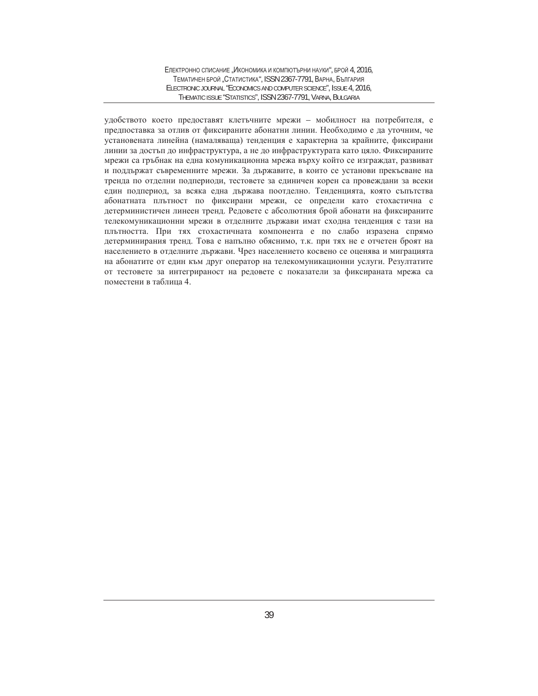удобството което предоставят клетъчните мрежи – мобилност на потребителя, е предпоставка за отлив от фиксираните абонатни линии. Необходимо е да уточним, че установената линейна (намаляваща) тенденция е характерна за крайните, фиксирани линии за достъп до инфраструктура, а не до инфраструктурата като цяло. Фиксираните мрежи са гръбнак на една комуникационна мрежа върху който се изграждат, развиват и поддържат съвременните мрежи. За държавите, в които се установи прекъсване на тренда по отделни подпериоди, тестовете за единичен корен са провеждани за всеки един подпериод, за всяка една държава поотделно. Тенденцията, която съпътства абонатната плътност по фиксирани мрежи, се определи като стохастична с детерминистичен линеен тренд. Редовете с абсолютния брой абонати на фиксираните телекомуникационни мрежи в отделните държави имат сходна тенденция с тази на плътността. При тях стохастичната компонента е по слабо изразена спрямо детерминирания тренд. Това е напълно обяснимо, т.к. при тях не е отчетен броят на населението в отделните държави. Чрез населението косвено се оценява и миграцията на абонатите от един към друг оператор на телекомуникационни услуги. Резултатите от тестовете за интегрираност на редовете с показатели за фиксираната мрежа са поместени в таблица 4.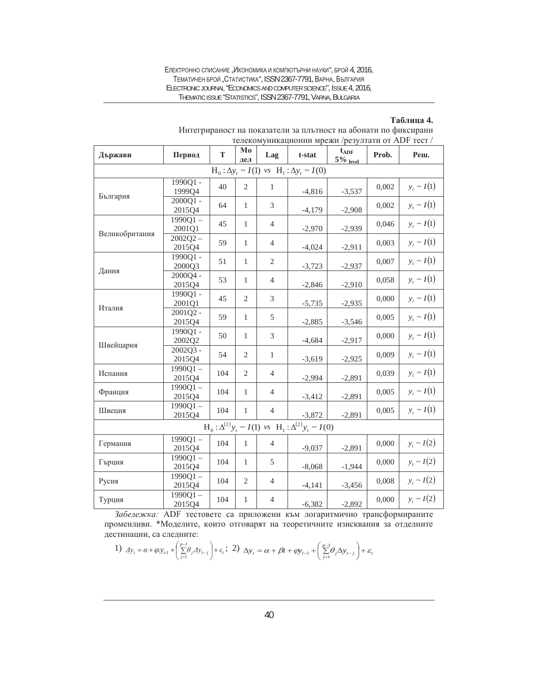Електронно списание "Икономика и компютърни науки", брой 4, 2016, ТЕМАТИЧЕН БРОЙ "СТАТИСТИКА", ISSN 2367-7791, ВАРНА, БЪЛГАРИЯ ELECTRONIC JOURNAL "ECONOMICS AND COMPUTER SCIENCE", ISSUE 4, 2016, THEMATIC ISSUE "STATISTICS", ISSN 2367-7791, VARNA, BULGARIA

#### **Ɍɚɛɥɢɰɚ 4.**

| Държави                                                                | Период               | T   | Mo<br>дел      | Lag            | t-stat   | $t_{\rm ADF}$<br>$5\frac{9}{6}$ level | Prob. | Реш.                    |
|------------------------------------------------------------------------|----------------------|-----|----------------|----------------|----------|---------------------------------------|-------|-------------------------|
| $H_0: \Delta y_t \sim I(1)$ vs $H_1: \Delta y_t \sim I(0)$             |                      |     |                |                |          |                                       |       |                         |
| България                                                               | 1990Q1-<br>1999Q4    | 40  | $\mathbf{2}$   | $\mathbf{1}$   | $-4,816$ | $-3,537$                              | 0,002 | $y_t \sim I(1)$         |
|                                                                        | 2000Q1-<br>2015Q4    | 64  | $\mathbf{1}$   | 3              | $-4,179$ | $-2,908$                              | 0,002 | $y_t \sim I\big(1\big)$ |
| Великобритания                                                         | $1990Q1 -$<br>2001Q1 | 45  | $\mathbf{1}$   | 4              | $-2,970$ | $-2,939$                              | 0,046 | $y_t \sim I(1)$         |
|                                                                        | $2002Q2 -$<br>2015Q4 | 59  | $\mathbf{1}$   | 4              | $-4,024$ | $-2,911$                              | 0,003 | $y_t \sim I(1)$         |
| Дания                                                                  | 1990Q1-<br>2000Q3    | 51  | 1              | 2              | $-3,723$ | $-2,937$                              | 0,007 | $y_t \sim I(1)$         |
|                                                                        | 2000Q4 -<br>2015Q4   | 53  | $\mathbf{1}$   | $\overline{4}$ | $-2,846$ | $-2,910$                              | 0,058 | $y_t \sim I(1)$         |
| Италия                                                                 | 1990Q1-<br>2001Q1    | 45  | $\mathfrak{2}$ | 3              | $-5,735$ | $-2,935$                              | 0,000 | $y_t \sim I(1)$         |
|                                                                        | 2001Q2 -<br>2015Q4   | 59  | 1              | 5              | $-2,885$ | $-3,546$                              | 0,005 | $y_t \sim I(1)$         |
|                                                                        | 1990O1-<br>2002Q2    | 50  | $\mathbf{1}$   | 3              | $-4,684$ | $-2,917$                              | 0,000 | $y_t \sim I(1)$         |
| Швейцария                                                              | 2002Q3-<br>2015Q4    | 54  | $\overline{2}$ | $\mathbf{1}$   | $-3,619$ | $-2,925$                              | 0,009 | $y_t \sim I(1)$         |
| Испания                                                                | $1990Q1 -$<br>2015Q4 | 104 | $\overline{2}$ | 4              | $-2,994$ | $-2,891$                              | 0,039 | $y_t \sim I(1)$         |
| Франция                                                                | $1990Q1 -$<br>2015Q4 | 104 | $\mathbf{1}$   | 4              | $-3,412$ | $-2,891$                              | 0,005 | $y_t \sim I(1)$         |
| Швеция                                                                 | $1990Q1 -$<br>2015Q4 | 104 | 1              | 4              | $-3,872$ | $-2,891$                              | 0,005 | $y_t \sim I(1)$         |
| $H_0: \Delta^{(2)} y_t \sim I(1)$ vs $H_1: \Delta^{(2)} y_t \sim I(0)$ |                      |     |                |                |          |                                       |       |                         |
| Германия                                                               | $1990Q1 -$<br>2015Q4 | 104 | 1              | 4              | $-9,037$ | $-2,891$                              | 0,000 | $y_t \sim I(2)$         |
| Гърция                                                                 | $1990Q1 -$<br>2015Q4 | 104 | $\mathbf{1}$   | 5              | $-8,068$ | $-1,944$                              | 0,000 | $y_t \sim I(2)$         |
| Русия                                                                  | 1990Q1-<br>2015Q4    | 104 | 2              | 4              | $-4,141$ | $-3,456$                              | 0,008 | $y_t \sim I(2)$         |
| Турция                                                                 | $1990Q1 -$<br>2015Q4 | 104 | 1              | $\overline{4}$ | $-6,382$ | $-2,892$                              | 0,000 | $y_t \sim I(2)$         |

Интегрираност на показатели за плътност на абонати по фиксирани телекомуникационни мрежи /резултати от ADF тест /

Забележка: ADF тестовете са приложени към логаритмично трансформираните променливи. \*Моделите, които отговарят на теоретичните изисквания за отделните дестинации, са следните:

1) 
$$
\Delta y_t = \alpha + \varphi y_{t-1} + \left(\sum_{j=1}^{p-1} \theta_j \Delta y_{t-j}\right) + \varepsilon_t
$$
; 2)  $\Delta y_t = \alpha + \beta t + \varphi y_{t-1} + \left(\sum_{j=1}^{p-1} \theta_j \Delta y_{t-j}\right) + \varepsilon_t$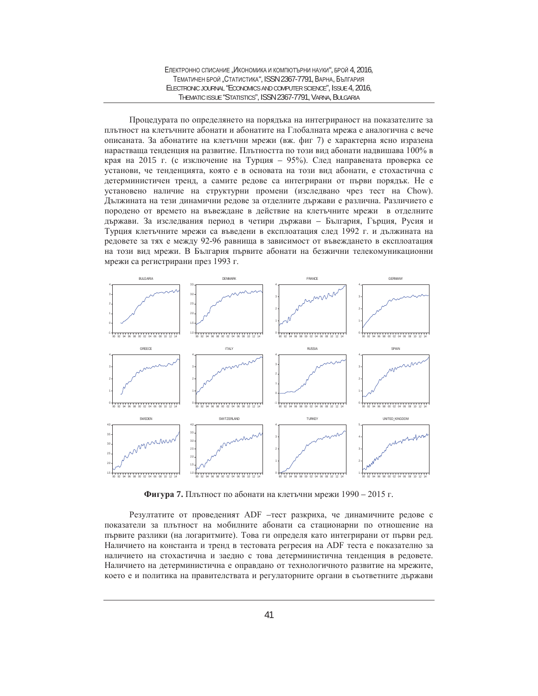ЕЛЕКТРОННО СПИСАНИЕ "ИКОНОМИКА И КОМПЮТЪРНИ НАУКИ", БРОЙ 4, 2016, ТЕМАТИЧЕН БРОЙ "СТАТИСТИКА", ISSN 2367-7791, ВАРНА, БЪЛГАРИЯ ELECTRONIC JOURNAL "ECONOMICS AND COMPUTER SCIENCE", ISSUE 4, 2016, THEMATIC ISSUE "STATISTICS", ISSN 2367-7791, VARNA, BULGARIA

Процедурата по определянето на порядъка на интегрираност на показателите за плътност на клетъчните абонати и абонатите на Глобалната мрежа е аналогична с вече описаната. За абонатите на клетъчни мрежи (вж. фиг 7) е характерна ясно изразена нарастваща тенденция на развитие. Плътността по този вид абонати надвишава 100% в края на 2015 г. (с изключение на Турция – 95%). След направената проверка се установи, че тенденцията, която е в основата на този вид абонати, е стохастична с детерминистичен тренд, а самите редове са интегрирани от първи порядък. Не е установено наличие на структурни промени (изследвано чрез тест на Chow). Дължината на тези динамични редове за отделните държави е различна. Различието е породено от времето на въвеждане в действие на клетъчните мрежи в отделните държави. За изследвания период в четири държави – България, Гърция, Русия и Турция клетьчните мрежи са въведени в експлоатация след 1992 г. и дължината на редовете за тях е между 92-96 равнища в зависимост от въвеждането в експлоатация на този вид мрежи. В България първите абонати на безжични телекомуникационни мрежи са регистрирани през 1993 г.



**Фигура 7.** Плътност по абонати на клетъчни мрежи 1990 – 2015 г.

Резултатите от проведеният ADF -тест разкриха, че динамичните редове с показатели за плътност на мобилните абонати са стационарни по отношение на първите разлики (на логаритмите). Това ги определя като интегрирани от първи ред. Наличието на константа и тренд в тестовата регресия на ADF теста е показателно за наличието на стохастична и заедно с това детерминистична тенденция в редовете. Наличието на детерминистична е оправдано от технологичното развитие на мрежите, което е и политика на правителствата и регулаторните органи в съответните държави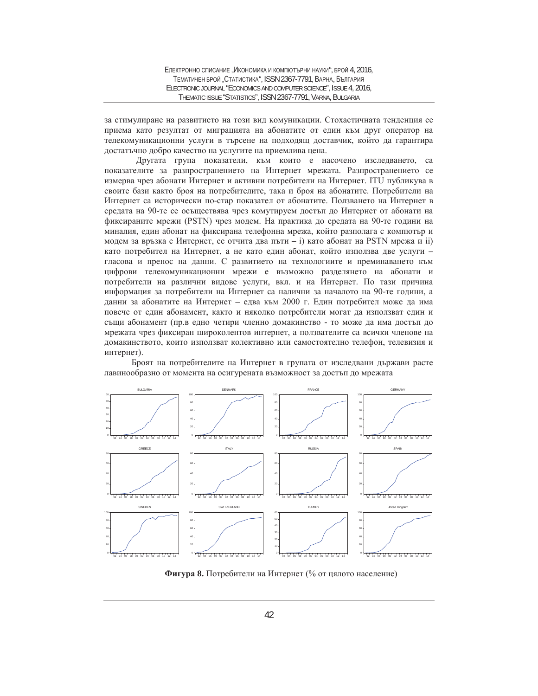за стимулиране на развитието на този вид комуникации. Стохастичната тенденция се приема като резултат от миграцията на абонатите от един към друг оператор на телекомуникационни услуги в търсене на подходящ доставчик, който да гарантира достатъчно добро качество на услугите на приемлива цена.

Другата група показатели, към които е насочено изследването, са показателите за разпространението на Интернет мрежата. Разпространението се измерва чрез абонати Интернет и активни потребители на Интернет. ITU публикува в своите бази както броя на потребителите, така и броя на абонатите. Потребители на Интернет са исторически по-стар показател от абонатите. Ползването на Интернет в средата на 90-те се осъществява чрез комутируем достъп до Интернет от абонати на фиксираните мрежи (PSTN) чрез модем. На практика до средата на 90-те години на миналия, един абонат на фиксирана телефонна мрежа, който разполага с компютър и модем за връзка с Интернет, се отчита два пъти – i) като абонат на PSTN мрежа и ii) като потребител на Интернет, а не като един абонат, който използва две услуги гласова и пренос на данни. С развитието на технологиите и преминаването към цифрови телекомуникационни мрежи е възможно разделянето на абонати и потребители на различни видове услуги, вкл. и на Интернет. По тази причина информация за потребители на Интернет са налични за началото на 90-те години, а данни за абонатите на Интернет – едва към 2000 г. Един потребител може да има повече от един абонамент, както и няколко потребители могат да използват един и същи абонамент (пр.в едно четири членно домакинство - то може да има достъп до мрежата чрез фиксиран широколентов интернет, а ползвателите са всички членове на домакинството, които използват колективно или самостоятелно телефон, телевизия и интернет).

Броят на потребителите на Интернет в групата от изследвани държави расте лавинообразно от момента на осигурената възможност за достъп до мрежата



Фигура 8. Потребители на Интернет (% от цялото население)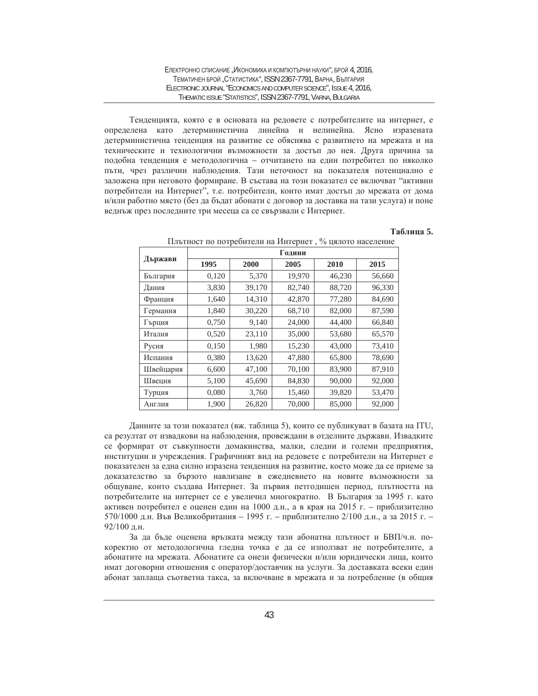Тенденцията, която е в основата на редовете с потребителите на интернет, е определена като детерминистична линейна и нелинейна. Ясно изразената детерминистична тенденция на развитие се обяснява с развитието на мрежата и на техническите и технологични възможности за достъп до нея. Друга причина за подобна тенденция е методологична – отчитането на един потребител по няколко пъти, чрез различни наблюдения. Тази неточност на показателя потенциално е заложена при неговото формиране. В състава на този показател се включват "активни потребители на Интернет", т.е. потребители, които имат достъп до мрежата от дома и/или работно място (без да бъдат абонати с договор за доставка на тази услуга) и поне веднъж през последните три месеца са се свързвали с Интернет.

#### **Таблица** 5.

|           | Години |        |        |        |        |  |  |  |
|-----------|--------|--------|--------|--------|--------|--|--|--|
| Държави   | 1995   | 2000   | 2005   | 2010   | 2015   |  |  |  |
| България  | 0,120  | 5,370  | 19,970 | 46,230 | 56,660 |  |  |  |
| Дания     | 3,830  | 39,170 | 82,740 | 88,720 | 96,330 |  |  |  |
| Франция   | 1,640  | 14,310 | 42,870 | 77,280 | 84,690 |  |  |  |
| Германия  | 1,840  | 30,220 | 68,710 | 82,000 | 87,590 |  |  |  |
| Гърция    | 0,750  | 9,140  | 24,000 | 44,400 | 66,840 |  |  |  |
| Италия    | 0,520  | 23,110 | 35,000 | 53,680 | 65,570 |  |  |  |
| Русия     | 0,150  | 1,980  | 15,230 | 43,000 | 73,410 |  |  |  |
| Испания   | 0,380  | 13,620 | 47,880 | 65,800 | 78,690 |  |  |  |
| Швейцария | 6,600  | 47,100 | 70,100 | 83,900 | 87,910 |  |  |  |
| Швеция    | 5,100  | 45,690 | 84,830 | 90,000 | 92,000 |  |  |  |
| Турция    | 0,080  | 3,760  | 15,460 | 39,820 | 53,470 |  |  |  |
| Англия    | 1,900  | 26,820 | 70,000 | 85,000 | 92,000 |  |  |  |

Плътност по потребители на Интернет, % цялото население

Данните за този показател (вж. таблица 5), които се публикуват в базата на ITU, са резултат от извадкови на наблюдения, провеждани в отделните държави. Извадките се формират от съвкупности домакинства, малки, следни и големи предприятия, институции и учреждения. Графичният вид на редовете с потребители на Интернет е показателен за една силно изразена тенденция на развитие, което може да се приеме за доказателство за бързото навлизане в ежедневието на новите възможности за общуване, които създава Интернет. За първия петгодишен период, плътността на потребителите на интернет се е увеличил многократно. В България за 1995 г. като активен потребител е оценен един на 1000 д.н., а в края на 2015 г. – приблизително 570/1000 д.н. Във Великобритания - 1995 г. - приблизително 2/100 д.н., а за 2015 г. -92/100 д.н.

За да бъде оценена връзката между тази абонатна плътност и БВП/ч.н. покоректно от методологична гледна точка е да се използват не потребителите, а абонатите на мрежата. Абонатите са онези физически и/или юридически лица, които имат договорни отношения с оператор/доставчик на услуги. За доставката всеки един абонат заплаща съответна такса, за включване в мрежата и за потребление (в общия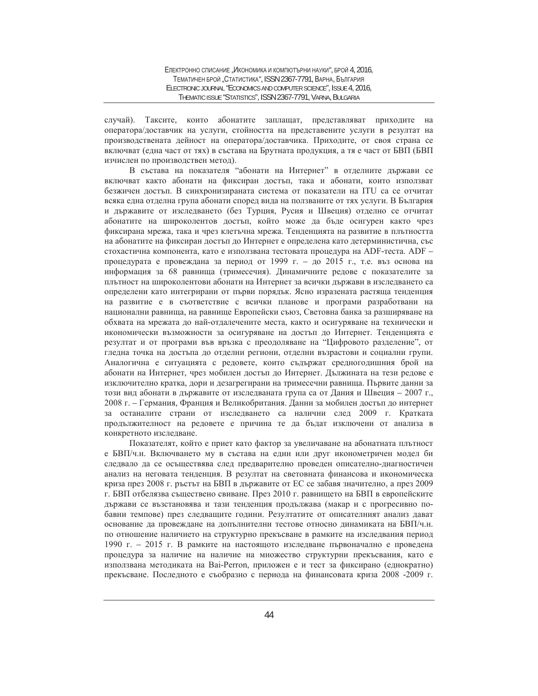случай). Таксите, които абонатите заплащат, представляват приходите на оператора/доставчик на услуги, стойността на представените услуги в резултат на производствената дейност на оператора/доставчика. Приходите, от своя страна се включват (една част от тях) в състава на Брутната продукция, а тя е част от БВП (БВП изчислен по производствен метод).

В състава на показателя "абонати на Интернет" в отделните държави се включват както абонати на фиксиран достъп, така и абонати, които използват безжичен достъп. В синхронизираната система от показатели на ITU са се отчитат всяка една отделна група абонати според вида на ползваните от тях услуги. В България и държавите от изследването (без Турция, Русия и Швеция) отделно се отчитат абонатите на широколентов достъп, който може да бъде осигурен както чрез фиксирана мрежа, така и чрез клетъчна мрежа. Тенденцията на развитие в плътността на абонатите на фиксиран достъп до Интернет е определена като детерминистична, със стохастична компонента, като е използвана тестовата процедура на ADF-теста. ADF процедурата е провеждана за период от 1999 г. – до 2015 г., т.е. въз основа на информация за 68 равнища (тримесечия). Динамичните редове с показателите за плътност на широколентови абонати на Интернет за всички държави в изследването са определени като интегрирани от първи порядък. Ясно изразената растяща тенденция на развитие е в съответствие с всички планове и програми разработвани на национални равнища, на равнище Европейски съюз, Световна банка за разширяване на обхвата на мрежата до най-отдалечените места, както и осигуряване на технически и икономически възможности за осигуряване на достъп до Интернет. Тенденцията е резултат и от програми във връзка с преодоляване на "Цифровото разделение", от гледна точка на достъпа до отделни региони, отделни възрастови и социални групи. Аналогична е ситуацията с редовете, които съдържат средногодишния брой на абонати на Интернет, чрез мобилен достъп до Интернет. Дължината на тези редове е изключително кратка, дори и дезагрегирани на тримесечни равнища. Първите данни за този вид абонати в държавите от изследваната група са от Дания и Швеция – 2007 г., 2008 г. – Германия, Франция и Великобритания. Данни за мобилен достъп до интернет за останалите страни от изследването са налични след 2009 г. Кратката продължителност на редовете е причина те да бъдат изключени от анализа в конкретното изследване.

Показателят, който е приет като фактор за увеличаване на абонатната плътност е БВП/ч.н. Включването му в състава на един или друг иконометричен модел би следвало да се осъществява след предварително проведен описателно-диагностичен анализ на неговата тенденция. В резултат на световната финансова и икономическа криза през 2008 г. ръстът на БВП в държавите от ЕС се забавя значително, а през 2009 г. БВП отбелязва съществено свиване. През 2010 г. равнището на БВП в европейските държави се възстановява и тази тенденция продължава (макар и с прогресивно побавни темпове) през следващите години. Резултатите от описателният анализ дават основание да провеждане на допълнителни тестове относно динамиката на БВП/ч.н. по отношение наличието на структурно прекъсване в рамките на изследвания период 1990 г. – 2015 г. В рамките на настоящото изследване първоначално е проведена процедура за наличие на наличие на множество структурни прекъсвания, като е използвана методиката на Bai-Perron, приложен е и тест за фиксирано (еднократно) прекъсване. Последното е съобразно с периода на финансовата криза 2008 -2009 г.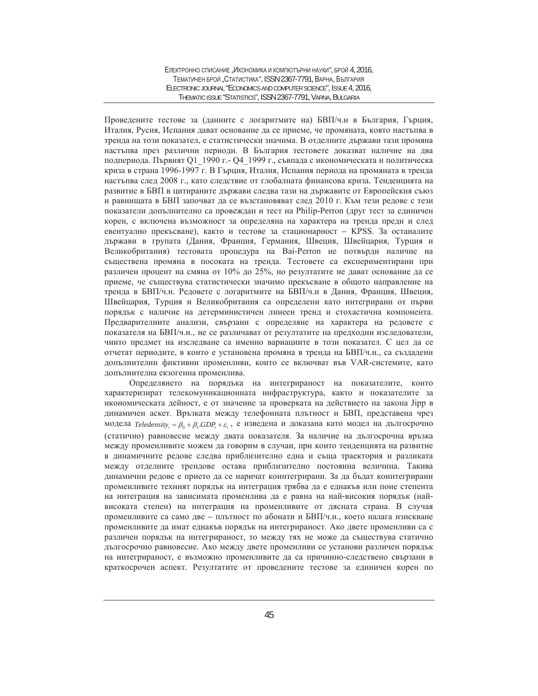Проведените тестове за (данните с логаритмите на) БВП/ч.н в България, Гърция, Италия, Русия, Испания дават основание да се приеме, че промяната, която настъпва в тренда на този показател, е статистически значима. В отделните държави тази промяна настыва през различни периоди. В Былгария тестовете доказват наличие на два подпериода. Първият Q1 1990 г. - Q4 1999 г., съвпада с икономическата и политическа криза в страна 1996-1997 г. В Гърция, Италия, Испания периода на промяната в тренда настъпва след 2008 г., като следствие от глобалната финансова криза. Тенденцията на развитие в БВП в цитираните държави следва тази на държавите от Европейския съюз и равнищата в БВП започват да се възстановяват след 2010 г. Към тези редове с тези показатели допълнително са провеждан и тест на Philip-Perron (друг тест за единичен корен, с включена възможност за определяна на характера на тренда преди и след евентуално прекъсване), както и тестове за стационарност – KPSS. За останалите държави в групата (Дания, Франция, Германия, Швеция, Швейцария, Турция и Великобритания) тестовата процедура на Ваі-Реггоп не потвърди наличие на съществена промяна в посоката на тренда. Тестовете са експериментирани при различен процент на смяна от 10% до 25%, но резултатите не дават основание да се приеме, че съществува статистически значимо прекъсване в общото направление на тренда в БВП/ч.н. Редовете с логаритмите на БВП/ч.н в Дания, Франция, Швеция, Швейцария, Турция и Великобритания са определени като интегрирани от първи порядък с наличие на детерминистичен линеен тренд и стохастична компонента. Предварителните анализи, свързани с определяне на характера на редовете с токазателя на БВП/ч.н., не се различават от резултатите на предходни изследователи, чиито предмет на изследване са именно вариациите в този показател. С цел да се отчетат периодите, в които е установена промяна в тренда на БВП/ч.н., са създадени допълнителни фиктивни променливи, които се включват във VAR-системите, като допълнителна екзогенна променлива.

Определянето на порядъка на интегрираност на показателите, които характеризират телекомуникационната инфраструктура, както и показателите за икономическата дейност, е от значение за проверката на действието на закона Јірр в динамичен аскет. Връзката между телефонната плътност и БВП, представена чрез модела  $Teledensity_i = \beta_0 + \beta_1 GDP_i + \varepsilon_i$ , е изведена и доказана като модел на дългосрочно (статично) равновесие между двата показателя. За наличие на дългосрочна връзка между променливите можем да говорим в случаи, при които тенденцията на развитие в динамичните редове следва приблизително една и съща траектория и разликата между отделните трендове остава приблизително постоянна величина. Такива динамични редове е прието да се наричат коинтегрирани. За да бъдат коинтегрирани променливите техният порядък на интеграция трябва да е еднакъв или поне степента на интеграция на зависимата променлива да е равна на най-високия порядък (найвисоката степен) на интеграция на променливите от дясната страна. В случая променливите са само две – плътност по абонати и БВП/ч.н., което налага изискване променливите да имат еднакъв порядък на интегрираност. Ако двете променливи са с различен порядък на интегрираност, то между тях не може да съществува статично дългосрочно равновесие. Ако между двете променливи се установи различен порядък на интегрираност, е възможно променливите да са причинно-следствено свързани в краткосрочен аспект. Резултатите от проведените тестове за единичен корен по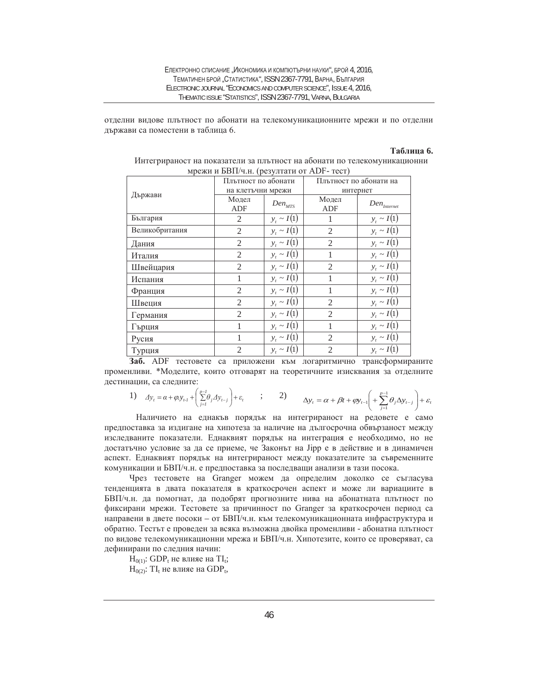отделни видове плътност по абонати на телекомуникационните мрежи и по отделни държави са поместени в таблица 6.

## $Ta6.$ **пина** 6.

|                | Плътност по абонати |                 |                | Плътност по абонати на    |  |
|----------------|---------------------|-----------------|----------------|---------------------------|--|
| Държави        | на клетъчни мрежи   |                 | интернет       |                           |  |
|                | Модел               | $Den_{MTS}$     | Модел          | $Den_{\mathit{Internet}}$ |  |
|                | ADF                 |                 | ADF            |                           |  |
| България       | $\mathfrak{2}$      | $y_t \sim I(1)$ |                | $y_t \sim I(1)$           |  |
| Великобритания | $\mathfrak{2}$      | $y_t \sim I(1)$ | $\mathfrak{2}$ | $y_t \sim I(1)$           |  |
| Дания          | $\overline{2}$      | $y_t \sim I(1)$ | $\mathfrak{2}$ | $y_t \sim I(1)$           |  |
| Италия         | $\overline{2}$      | $y_t \sim I(1)$ |                | $y_t \sim I(1)$           |  |
| Швейцария      | $\overline{2}$      | $y_t \sim I(1)$ | $\mathfrak{2}$ | $y_t \sim I(1)$           |  |
| Испания        |                     | $y_t \sim I(1)$ |                | $y_t \sim I(1)$           |  |
| Франция        | $\overline{2}$      | $y_t \sim I(1)$ | 1              | $y_t \sim I(1)$           |  |
| Швеция         | $\overline{2}$      | $y_t \sim I(1)$ | $\mathfrak{2}$ | $y_t \sim I(1)$           |  |
| Германия       | $\overline{2}$      | $y_t \sim I(1)$ | $\overline{2}$ | $y_t \sim I(1)$           |  |
| Гърция         |                     | $y_t \sim I(1)$ | 1              | $y_t \sim I(1)$           |  |
| Русия          |                     | $y_t \sim I(1)$ | $\mathfrak{2}$ | $y_t \sim I(1)$           |  |
| Турция         | $\overline{2}$      | $y_t \sim I(1)$ | 2              | $y_t \sim I(1)$           |  |

|                                           | Интегрираност на показатели за плътност на абонати по телекомуникационни |
|-------------------------------------------|--------------------------------------------------------------------------|
| мрежи и БВП/ч.н. (резултати от ADF- тест) |                                                                          |

Заб. ADF тестовете са приложени към логаритмично трансформираните променливи. \*Моделите, които отговарят на теоретичните изисквания за отделните дестинации, са следните:

1) 
$$
\Delta y_t = \alpha + \varphi y_{t-1} + \left(\sum_{j=1}^{p-1} \theta_j \Delta y_{t-j}\right) + \varepsilon_t, \qquad ; \qquad 2) \qquad \Delta y_t = \alpha + \beta t + \varphi y_{t-1} + \sum_{j=1}^{p-1} \theta_j \Delta y_{t-j} + \varepsilon_t
$$

Наличието на еднакъв порядък на интегрираност на редовете е само предпоставка за издигане на хипотеза за наличие на дългосрочна обвързаност между изследваните показатели. Еднаквият порядък на интеграция е необходимо, но не достатъчно условие за да се приеме, че Законът на Јірр е в действие и в динамичен аспект. Еднаквият порядък на интегрираност между показателите за съвременните комуникации и БВП/ч.н. е предпоставка за последващи анализи в тази посока.

Чрез тестовете на Granger можем да определим доколко се съгласува тенденцията в двата показателя в краткосрочен аспект и може ли вариациите в БВП/ч.н. да помогнат, да подобрят прогнозните нива на абонатната плътност по фиксирани мрежи. Тестовете за причинност по Granger за краткосрочен период са направени в двете посоки - от БВП/ч.н. към телекомуникационната инфраструктура и обратно. Тестът е проведен за всяка възможна двойка променливи - абонатна плътност по видове телекомуникационни мрежа и БВП/ч.н. Хипотезите, които се проверяват, са дефинирани по следния начин:

 $H<sub>0(1)</sub>$ : GDP<sub>t</sub> не влияе на TI<sub>t</sub>;

 $H<sub>0(2)</sub>: TI<sub>t</sub>$  не влияе на GDP<sub>t</sub>,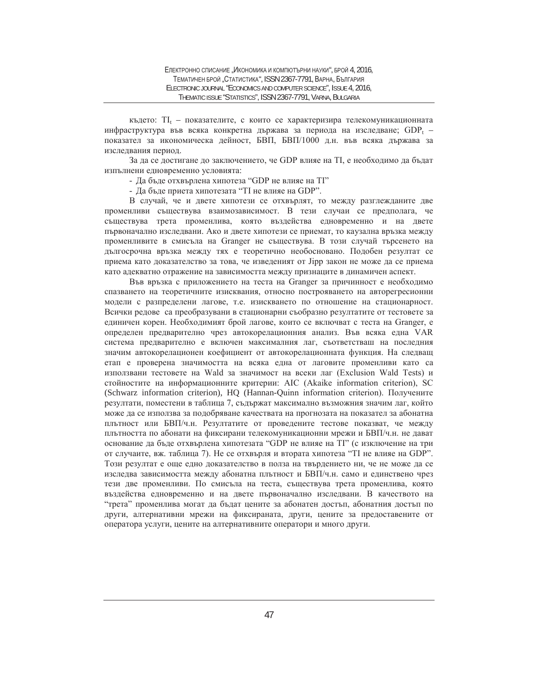където:  $TI_t$  – показателите, с които се характеризира телекомуникационната инфраструктура във всяка конкретна държава за периода на изследване;  $GDP_t$  – показател за икономическа дейност, БВП, БВП/1000 д.н. във всяка държава за изследвания период.

За да се достигане до заключението, че GDP влияе на TI, е необходимо да бъдат изпълнени едновременно условията:

- Да бъде отхвърлена хипотеза "GDP не влияе на TI"

- Да бъде приета хипотезата "ТІ не влияе на GDP".

В случай, че и двете хипотези се отхвърлят, то между разглежданите две променливи съществува взаимозависимост. В тези случаи се предполага, че съществува трета променлива, която въздейства едновременно и на двете първоначално изследвани. Ако и двете хипотези се приемат, то каузална връзка между променливите в смисъла на Granger не съществува. В този случай търсенето на дългосрочна връзка между тях е теоретично необосновано. Подобен резултат се приема като доказателство за това, че изведеният от Јірр закон не може да се приема като адекватно отражение на зависимостта между признаците в динамичен аспект.

Във връзка с приложението на теста на Granger за причинност е необходимо спазването на теоретичните изисквания, относно построяването на авторегресионни модели с разпределени лагове, т.е. изискването по отношение на стационарност. Всички редове са преобразувани в стационарни съобразно резултатите от тестовете за единичен корен. Необходимият брой лагове, които се включват с теста на Granger, е определен предварително чрез автокорелационния анализ. Във всяка една VAR система предварително е включен максималния лаг, съответстваш на последния значим автокорелационен коефициент от автокорелационната функция. На следващ етап е проверена значимостта на всяка една от лаговите променливи като са използвани тестовете на Wald за значимост на всеки лаг (Exclusion Wald Tests) и стойностите на информационните критерии: AIC (Akaike information criterion), SC (Schwarz information criterion), HO (Hannan-Quinn information criterion). Получените резултати, поместени в таблица 7, съдържат максимално възможния значим лаг, който може ла се използва за полобряване качествата на прогнозата на показател за абонатна плътност или БВП/ч.н. Резултатите от проведените тестове показват, че между плътността по абонати на фиксирани телекомуникационни мрежи и БВП/ч.н. не дават основание да бъде отхвърлена хипотезата "GDP не влияе на TI" (с изключение на три от случаите, вж. таблица 7). Не се отхвърля и втората хипотеза "ТI не влияе на GDP". Този резултат е още едно доказателство в полза на твърдението ни, че не може да се изследва зависимостта между абонатна плътност и БВП/ч.н. само и единствено чрез тези две променливи. По смисъла на теста, съществува трета променлива, която въздейства едновременно и на двете първоначално изследвани. В качеството на "трета" променлива могат да бъдат цените за абонатен достъп, абонатния достъп по други, алтернативни мрежи на фиксираната, други, цените за предоставените от оператора услуги, цените на алтернативните оператори и много други.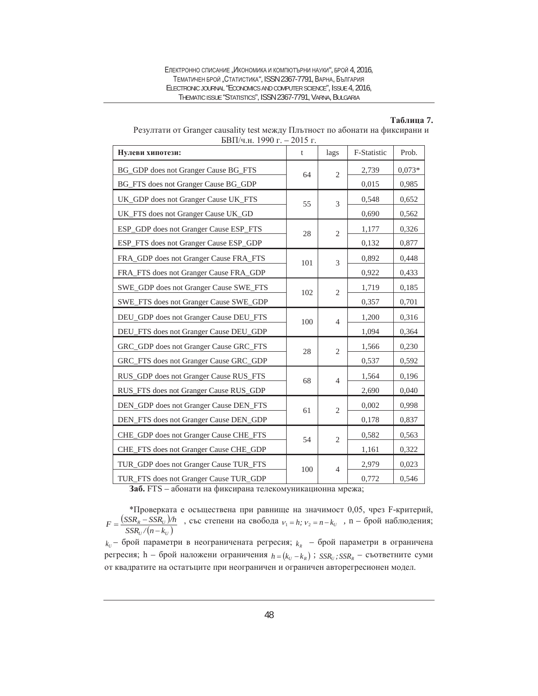ЕЛЕКТРОННО СПИСАНИЕ "ИКОНОМИКА И КОМПЮТЪРНИ НАУКИ", БРОЙ 4, 2016, ТЕМАТИЧЕН БРОЙ "СТАТИСТИКА", ISSN 2367-7791, ВАРНА, БЪЛГАРИЯ ELECTRONIC JOURNAL "ECONOMICS AND COMPUTER SCIENCE", ISSUE 4, 2016, THEMATIC ISSUE "STATISTICS", ISSN 2367-7791, VARNA, BULGARIA

#### **Ɍɚɛɥɢɰɚ 7.**

| Нулеви хипотези:                       | t   | lags           | F-Statistic | Prob.    |
|----------------------------------------|-----|----------------|-------------|----------|
| BG_GDP does not Granger Cause BG_FTS   | 64  | $\overline{2}$ | 2,739       | $0,073*$ |
| BG_FTS does not Granger Cause BG_GDP   |     |                | 0,015       | 0,985    |
| UK_GDP does not Granger Cause UK_FTS   | 55  | 3              | 0,548       | 0,652    |
| UK_FTS does not Granger Cause UK_GD    |     |                | 0,690       | 0,562    |
| ESP_GDP does not Granger Cause ESP_FTS | 28  | $\mathfrak{2}$ | 1,177       | 0,326    |
| ESP_FTS does not Granger Cause ESP_GDP |     |                | 0,132       | 0,877    |
| FRA_GDP does not Granger Cause FRA_FTS | 101 | 3              | 0,892       | 0,448    |
| FRA_FTS does not Granger Cause FRA_GDP |     |                | 0,922       | 0,433    |
| SWE_GDP does not Granger Cause SWE_FTS | 102 | $\sqrt{2}$     | 1,719       | 0,185    |
| SWE_FTS does not Granger Cause SWE_GDP |     |                | 0,357       | 0,701    |
| DEU_GDP does not Granger Cause DEU_FTS | 100 | $\overline{4}$ | 1,200       | 0,316    |
| DEU_FTS does not Granger Cause DEU_GDP |     |                | 1,094       | 0,364    |
| GRC_GDP does not Granger Cause GRC_FTS | 28  | $\overline{2}$ | 1,566       | 0,230    |
| GRC_FTS does not Granger Cause GRC_GDP |     |                | 0,537       | 0,592    |
| RUS_GDP does not Granger Cause RUS_FTS | 68  | $\overline{4}$ | 1,564       | 0,196    |
| RUS_FTS does not Granger Cause RUS_GDP |     |                | 2,690       | 0,040    |
| DEN_GDP does not Granger Cause DEN_FTS | 61  | $\overline{c}$ | 0,002       | 0,998    |
| DEN_FTS does not Granger Cause DEN_GDP |     |                | 0,178       | 0,837    |
| CHE_GDP does not Granger Cause CHE_FTS | 54  | $\overline{2}$ | 0,582       | 0,563    |
| CHE_FTS does not Granger Cause CHE_GDP |     |                | 1,161       | 0,322    |
| TUR_GDP does not Granger Cause TUR_FTS | 100 | $\overline{4}$ | 2,979       | 0,023    |
| TUR_FTS does not Granger Cause TUR_GDP |     |                | 0,772       | 0,546    |

| Резултати от Granger causality test между Плътност по абонати на фиксирани и |
|------------------------------------------------------------------------------|
| БВП/ч.н. 1990 г. – 2015 г.                                                   |

Заб. FTS – абонати на фиксирана телекомуникационна мрежа;

\*Проверката е осъществена при равнище на значимост 0,05, чрез F-критерий,  $(SSR_{R} - SSR_{U})$  $F = \frac{(SSR_R - SSR_U)/h}{SSR_U/(n-k_U)}$ , със степени на свобода  $v_1 = h$ ;  $v_2 = n - k_U$ , п – брой наблюдения;  $k_U$  – брой параметри в неограничената регресия;  $k_R$  – брой параметри в ограничена

регресия; h – брой наложени ограничения  $h = (k_U - k_R)$ ;  $SSR_U$ ;  $SSR_R$  – съответните суми от квадратите на остатъците при неограничен и ограничен авторегресионен модел.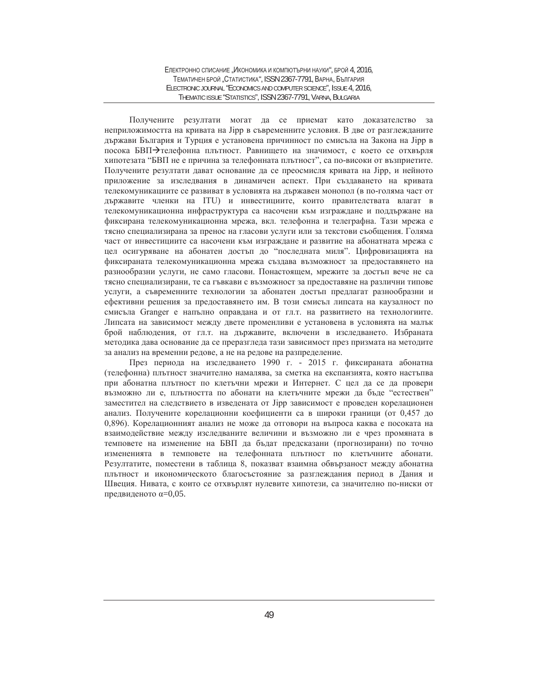#### ЕЛЕКТРОННО СПИСАНИЕ "ИКОНОМИКА И КОМПЮТЪРНИ НАУКИ", БРОЙ 4, 2016, ТЕМАТИЧЕН БРОЙ "СТАТИСТИКА", ISSN 2367-7791, ВАРНА, БЪЛГАРИЯ ELECTRONIC JOURNAL "ECONOMICS AND COMPUTER SCIENCE", ISSUE 4, 2016, THEMATIC ISSUE "STATISTICS", ISSN 2367-7791, VARNA, BULGARIA

Получените резултати могат да се приемат като доказателство за неприложимостта на кривата на Јірр в съвременните условия. В две от разглежданите държави България и Турция е установена причинност по смисъла на Закона на Јірр в посока БВП→телефонна плътност. Равнището на значимост, с което се отхвърля хипотезата "БВП не е причина за телефонната плътност", са по-високи от възприетите. Получените резултати дават основание да се преосмисля кривата на Јірр, и нейното приложение за изследвания в динамичен аспект. При създаването на кривата телекомуникациите се развиват в условията на държавен монопол (в по-голяма част от държавите членки на ITU) и инвестициите, които правителствата влагат в телекомуникационна инфраструктура са насочени към изграждане и поддържане на фиксирана телекомуникационна мрежа, вкл. телефонна и телеграфна. Тази мрежа е тясно специализирана за пренос на гласови услуги или за текстови съобщения. Голяма част от инвестициите са насочени към изграждане и развитие на абонатната мрежа с цел осигуряване на абонатен достъп до "последната миля". Цифровизацията на фиксираната телекомуникационна мрежа създава възможност за предоставянето на разнообразни услуги, не само гласови. Понастоящем, мрежите за достъп вече не са тясно специализирани, те са гъвкави с възможност за предоставяне на различни типове үслуги, а съвременните технологии за абонатен достъп предлагат разнообразни и ефективни решения за предоставянето им. В този смисъл липсата на каузалност по смисъла Granger е напълно оправдана и от гл.т. на развитието на технологиите. Липсата на зависимост между двете променливи е установена в условията на малък брой наблюдения, от гл.т. на държавите, включени в изследването. Избраната методика дава основание да се преразгледа тази зависимост през призмата на методите за анализ на временни редове, а не на редове на разпределение.

През периода на изследването 1990 г. - 2015 г. фиксираната абонатна (телефонна) плътност значително намалява, за сметка на експанзията, която настъпва при абонатна плътност по клетъчни мрежи и Интернет. С цел да се да провери възможно ли е, плътността по абонати на клетъчните мрежи да бъде "естествен" заместител на следствието в изведената от Jipp зависимост е проведен корелационен анализ. Получените корелационни коефициенти са в широки граници (от 0,457 до 0,896). Корелационният анализ не може да отговори на въпроса каква е посоката на взаимодействие между изследваните величини и възможно ли е чрез промяната в темповете на изменение на БВП да бъдат предсказани (прогнозирани) по точно измененията в темповете на телефонната плътност по клетъчните абонати. Резултатите, поместени в таблица 8, показват взаимна обвързаност между абонатна плътност и икономическото благосъстояние за разглеждания период в Дания и Швеция. Нивата, с които се отхвърлят нулевите хипотези, са значително по-ниски от предвиденото α=0,05.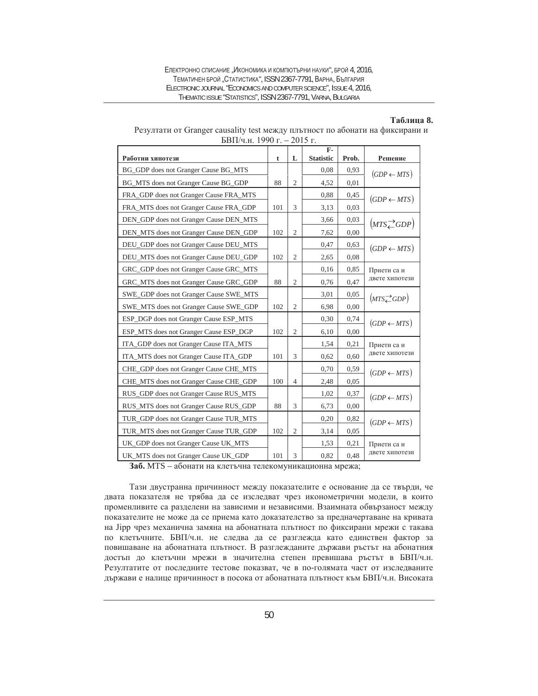ЕЛЕКТРОННО СПИСАНИЕ "ИКОНОМИКА И КОМПЮТЪРНИ НАУКИ", БРОЙ 4, 2016. ТЕМАТИЧЕН БРОЙ "СТАТИСТИКА", ISSN 2367-7791, ВАРНА, БЪЛГАРИЯ ELECTRONIC JOURNAL "ECONOMICS AND COMPUTER SCIENCE", ISSUE 4, 2016, THEMATIC ISSUE "STATISTICS", ISSN 2367-7791, VARNA, BULGARIA

#### **Ɍɚɛɥɢɰɚ 8.**

| DBII/4.H. 1990 F. – 2013 F.            |     |                | $F-$             |       |                        |
|----------------------------------------|-----|----------------|------------------|-------|------------------------|
| Работни хипотези                       | t   | L              | <b>Statistic</b> | Prob. | Решение                |
| BG_GDP does not Granger Cause BG_MTS   |     |                | 0.08             | 0,93  | $(GDP \leftarrow MTS)$ |
| BG_MTS does not Granger Cause BG_GDP   | 88  | $\overline{2}$ | 4,52             | 0,01  |                        |
| FRA_GDP does not Granger Cause FRA_MTS |     |                | 0,88             | 0,45  | $(GDP \leftarrow MTS)$ |
| FRA MTS does not Granger Cause FRA GDP | 101 | 3              | 3,13             | 0,03  |                        |
| DEN_GDP does not Granger Cause DEN_MTS |     |                | 3,66             | 0,03  | $(MTS \angle GDP)$     |
| DEN_MTS does not Granger Cause DEN_GDP | 102 | $\mathfrak{2}$ | 7,62             | 0,00  |                        |
| DEU_GDP does not Granger Cause DEU_MTS |     |                | 0,47             | 0,63  | $(GDP \leftarrow MTS)$ |
| DEU_MTS does not Granger Cause DEU_GDP | 102 | $\overline{2}$ | 2,65             | 0,08  |                        |
| GRC_GDP does not Granger Cause GRC_MTS |     |                | 0,16             | 0,85  | Приети са и            |
| GRC_MTS does not Granger Cause GRC_GDP | 88  | $\overline{2}$ | 0,76             | 0,47  | двете хипотези         |
| SWE_GDP does not Granger Cause SWE_MTS |     |                | 3,01             | 0,05  | $(MTS \angle GDP)$     |
| SWE_MTS does not Granger Cause SWE_GDP | 102 | $\mathfrak{2}$ | 6,98             | 0,00  |                        |
| ESP_DGP does not Granger Cause ESP_MTS |     |                | 0,30             | 0,74  | $(GDP \leftarrow MTS)$ |
| ESP_MTS does not Granger Cause ESP_DGP | 102 | $\overline{2}$ | 6,10             | 0,00  |                        |
| ITA_GDP does not Granger Cause ITA_MTS |     |                | 1,54             | 0,21  | Приети са и            |
| ITA_MTS does not Granger Cause ITA_GDP | 101 | 3              | 0,62             | 0,60  | двете хипотези         |
| CHE_GDP does not Granger Cause CHE_MTS |     |                | 0,70             | 0,59  | $(GDP \leftarrow MTS)$ |
| CHE_MTS does not Granger Cause CHE_GDP | 100 | $\overline{4}$ | 2,48             | 0,05  |                        |
| RUS_GDP does not Granger Cause RUS_MTS |     |                | 1,02             | 0,37  | $(GDP \leftarrow MTS)$ |
| RUS_MTS does not Granger Cause RUS_GDP | 88  | 3              | 6,73             | 0,00  |                        |
| TUR_GDP does not Granger Cause TUR_MTS |     |                | 0,20             | 0,82  | $(GDP \leftarrow MTS)$ |
| TUR_MTS does not Granger Cause TUR_GDP | 102 | $\overline{2}$ | 3,14             | 0,05  |                        |
| UK_GDP does not Granger Cause UK_MTS   |     |                | 1,53             | 0,21  | Приети са и            |
| UK_MTS does not Granger Cause UK_GDP   | 101 | 3              | 0,82             | 0,48  | двете хипотези         |

| Резултати от Granger causality test между плътност по абонати на фиксирани и |
|------------------------------------------------------------------------------|
| БВП/ч.н. 1990 г. – 2015 г.                                                   |

Заб. MTS – абонати на клетъчна телекомуникационна мрежа;

Тази двустранна причинност между показателите е основание да се твърди, че двата показателя не трябва да се изследват чрез иконометрични модели, в които променливите са разделени на зависими и независими. Взаимната обвързаност между показателите не може да се приема като доказателство за предначертаване на кривата на Јірр чрез механична замяна на абонатната плътност по фиксирани мрежи с такава по клетъчните. БВП/ч.н. не следва да се разглежда като единствен фактор за повишаване на абонатната плътност. В разглежданите държави ръстът на абонатния достъп до клетъчни мрежи в значителна степен превишава ръстът в БВП/ч.н. Резултатите от последните тестове показват, че в по-голямата част от изследваните държави е налице причинност в посока от абонатната плътност към БВП/ч.н. Високата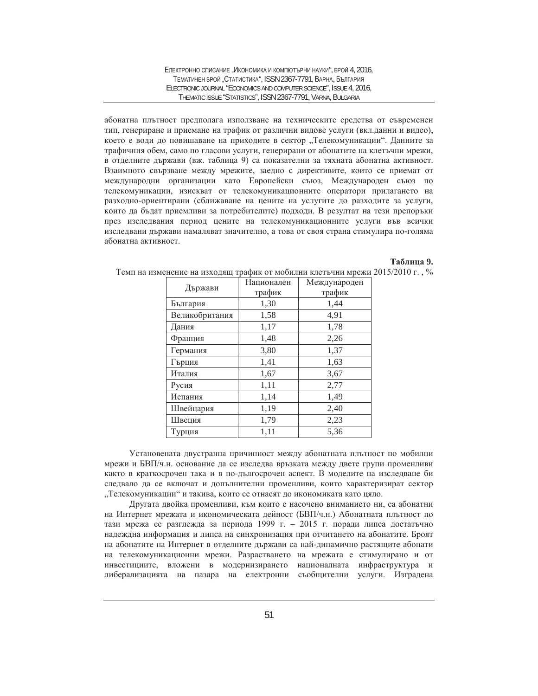ЕЛЕКТРОННО СПИСАНИЕ "ИКОНОМИКА И КОМПЮТЪРНИ НАУКИ", БРОЙ 4, 2016, ТЕМАТИЧЕН БРОЙ "СТАТИСТИКА", ISSN 2367-7791, ВАРНА, БЪЛГАРИЯ ELECTRONIC JOURNAL "ECONOMICS AND COMPUTER SCIENCE", ISSUE 4, 2016, THEMATIC ISSUE "STATISTICS", ISSN 2367-7791, VARNA, BULGARIA

абонатна плътност предполага използване на техническите средства от съвременен тип, генериране и приемане на трафик от различни видове услуги (вкл.данни и видео), което е води до повишаване на приходите в сектор "Телекомуникации". Данните за трафичния обем, само по гласови услуги, генерирани от абонатите на клетъчни мрежи, в отделните държави (вж. таблица 9) са показателни за тяхната абонатна активност. Взаимното свързване между мрежите, заедно с директивите, които се приемат от международни организации като Европейски съюз, Международен съюз по телекомуникации, изискват от телекомуникационните оператори прилагането на разходно-ориентирани (сближаване на цените на услугите до разходите за услуги, които да бъдат приемливи за потребителите) подходи. В резултат на тези препоръки през изследвания период цените на телекомуникационните услуги във всички изследвани държави намаляват значително, а това от своя страна стимулира по-голяма абонатна активност.

#### **Ɍɚɛɥɢɰɚ 9.**

| Държави        | Национален | Международен |
|----------------|------------|--------------|
|                | трафик     | трафик       |
| България       | 1,30       | 1,44         |
| Великобритания | 1,58       | 4,91         |
| Дания          | 1,17       | 1,78         |
| Франция        | 1,48       | 2,26         |
| Германия       | 3,80       | 1,37         |
| Гърция         | 1,41       | 1,63         |
| Италия         | 1,67       | 3,67         |
| Русия          | 1,11       | 2,77         |
| Испания        | 1,14       | 1,49         |
| Швейцария      | 1,19       | 2,40         |
| Швеция         | 1,79       | 2,23         |
| Турция         | 1,11       | 5,36         |

Темп на изменение на изходящ трафик от мобилни клетьчни мрежи 2015/2010 г., %

Установената двустранна причинност между абонатната плътност по мобилни мрежи и БВП/ч.н. основание да се изследва връзката между двете групи променливи както в краткосрочен така и в по-дългосрочен аспект. В моделите на изследване би следвало да се включат и допълнителни променливи, които характеризират сектор "Телекомуникации" и такива, които се отнасят до икономиката като цяло.

Другата двойка променливи, към които е насочено вниманието ни, са абонатни на Интернет мрежата и икономическата дейност (БВП/ч.н.) Абонатната плътност по тази мрежа се разглежда за периода 1999 г. – 2015 г. поради липса достатъчно надеждна информация и липса на синхронизация при отчитането на абонатите. Броят на абонатите на Интернет в отделните държави са най-динамично растящите абонати на телекомуникационни мрежи. Разрастването на мрежата е стимулирано и от инвестициите, вложени в модернизирането националната инфраструктура и либерализацията на пазара на електронни съобщителни услуги. Изградена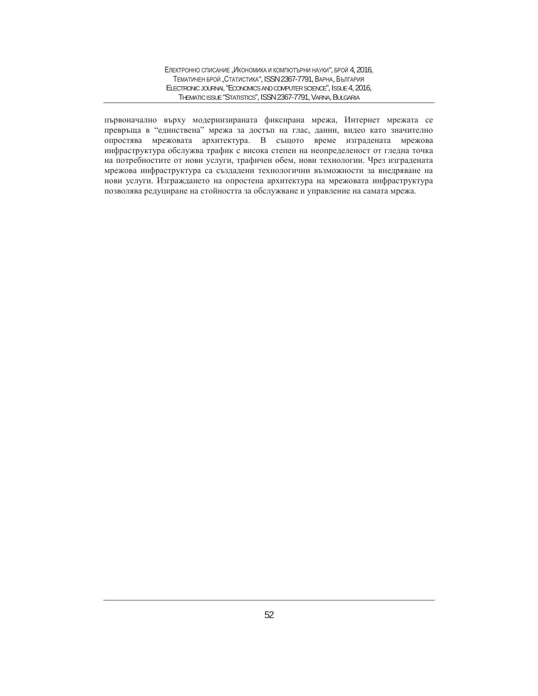първоначално върху модернизираната фиксирана мрежа, Интернет мрежата се превръща в "единствена" мрежа за достъп на глас, данни, видео като значително опростява мрежовата архитектура. В същото време изградената мрежова инфраструктура обслужва трафик с висока степен на неопределеност от гледна точка на потребностите от нови услуги, трафичен обем, нови технологии. Чрез изградената мрежова инфраструктура са създадени технологични възможности за внедряване на нови услуги. Изграждането на опростена архитектура на мрежовата инфраструктура позволява редуциране на стойността за обслужване и управление на самата мрежа.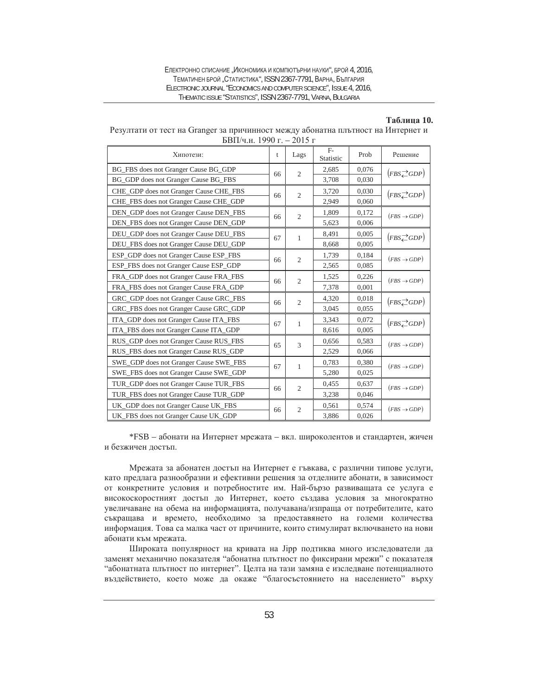| Електронно списание "Икономика и компютърни науки", брой 4, 2016.   |
|---------------------------------------------------------------------|
| ТЕМАТИЧЕН БРОЙ "СТАТИСТИКА", ISSN 2367-7791, ВАРНА, БЪЛГАРИЯ        |
| ELECTRONIC JOURNAL "ECONOMICS AND COMPUTER SCIENCE", ISSUE 4, 2016. |
| THEMATIC ISSUE "STATISTICS", ISSN 2367-7791, VARNA, BULGARIA        |

#### $Ta\overline{6}$ лица 10.

| Резултати от тест на Granger за причинност между абонатна плътност на Интернет и |
|----------------------------------------------------------------------------------|
| БВП/ч.н. 1990 г. – 2015 г                                                        |

| Хипотези:                              | t  | Lags           | $F-$<br>Statistic | Prob  | Решение                                                                    |
|----------------------------------------|----|----------------|-------------------|-------|----------------------------------------------------------------------------|
| BG_FBS does not Granger Cause BG_GDP   | 66 | 2              | 2,685             | 0,076 | $(FBS \nightharpoonup GDP)$                                                |
| BG_GDP does not Granger Cause BG_FBS   |    |                | 3,708             | 0.030 |                                                                            |
| CHE_GDP does not Granger Cause CHE_FBS | 66 | $\overline{2}$ | 3,720             | 0,030 | $(FBS \nightharpoonup GDP)$                                                |
| CHE_FBS does not Granger Cause CHE_GDP |    |                | 2,949             | 0,060 |                                                                            |
| DEN GDP does not Granger Cause DEN FBS | 66 | $\mathfrak{2}$ | 1,809             | 0,172 | $(FBS \rightarrow GDP)$                                                    |
| DEN_FBS does not Granger Cause DEN_GDP |    |                | 5,623             | 0,006 |                                                                            |
| DEU_GDP does not Granger Cause DEU_FBS | 67 | 1              | 8,491             | 0,005 | $\left(\textit{FBS} \textcolor{red}{\rightleftarrows} \textit{GDP}\right)$ |
| DEU_FBS does not Granger Cause DEU_GDP |    |                | 8,668             | 0,005 |                                                                            |
| ESP_GDP does not Granger Cause ESP_FBS | 66 | $\overline{2}$ | 1,739             | 0,184 | $(FBS \rightarrow GDP)$                                                    |
| ESP_FBS does not Granger Cause ESP_GDP |    |                | 2,565             | 0,085 |                                                                            |
| FRA_GDP does not Granger Cause FRA_FBS | 66 | $\mathfrak{2}$ | 1,525             | 0,226 | $(FBS \rightarrow GDP)$                                                    |
| FRA_FBS does not Granger Cause FRA_GDP |    |                | 7,378             | 0,001 |                                                                            |
| GRC GDP does not Granger Cause GRC FBS | 66 | $\overline{2}$ | 4,320             | 0,018 | $(FBS \n\rightleftharpoons GDP)$                                           |
| GRC_FBS does not Granger Cause GRC_GDP |    |                | 3,045             | 0,055 |                                                                            |
| ITA GDP does not Granger Cause ITA FBS | 67 | 1              | 3,343             | 0,072 | $(FBS \nightharpoonup GDP)$                                                |
| ITA_FBS does not Granger Cause ITA_GDP |    |                | 8,616             | 0,005 |                                                                            |
| RUS_GDP does not Granger Cause RUS_FBS | 65 | 3              | 0,656             | 0,583 | $(FBS \rightarrow GDP)$                                                    |
| RUS_FBS does not Granger Cause RUS_GDP |    |                | 2,529             | 0,066 |                                                                            |
| SWE_GDP does not Granger Cause SWE_FBS | 67 | $\mathbf{1}$   | 0,783             | 0,380 | $(FBS \rightarrow GDP)$                                                    |
| SWE_FBS does not Granger Cause SWE_GDP |    |                | 5,280             | 0,025 |                                                                            |
| TUR_GDP does not Granger Cause TUR_FBS | 66 | $\overline{2}$ | 0,455             | 0,637 | $(FBS \rightarrow GDP)$                                                    |
| TUR_FBS does not Granger Cause TUR_GDP |    |                | 3,238             | 0,046 |                                                                            |
| UK_GDP does not Granger Cause UK_FBS   | 66 | $\overline{2}$ | 0,561             | 0,574 | $(FBS \rightarrow GDP)$                                                    |
| UK_FBS does not Granger Cause UK_GDP   |    |                | 3,886             | 0,026 |                                                                            |

\*FSB – абонати на Интернет мрежата – вкл. широколентов и стандартен, жичен и безжичен достъп.

Мрежата за абонатен достъп на Интернет е гъвкава, с различни типове услуги, като предлага разнообразни и ефективни решения за отделните абонати, в зависимост от конкретните условия и потребностите им. Най-бързо развиващата се услуга е високоскоростният достъп до Интернет, което създава условия за многократно увеличаване на обема на информацията, получавана/изпраща от потребителите, като съкращава и времето, необходимо за предоставянето на големи количества информация. Това са малка част от причините, които стимулират включването на нови абонати към мрежата.

Широката популярност на кривата на Јірр подтиква много изследователи да заменят механично показателя "абонатна плътност по фиксирани мрежи" с показателя "абонатната плътност по интернет". Целта на тази замяна е изследване потенциалното въздействието, което може да окаже "благосъстоянието на населението" върху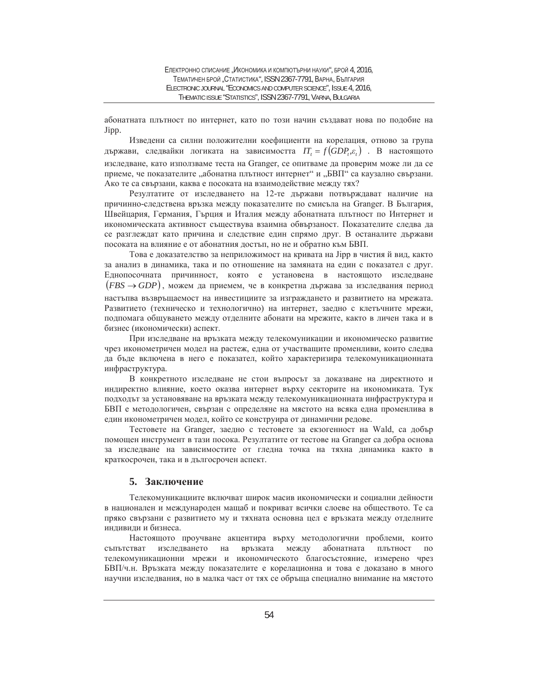абонатната плътност по интернет, като по този начин създават нова по подобие на Jipp.

Изведени са силни положителни коефициенти на корелация, отново за група държави, следвайки логиката на зависимостта  $IT_t = f(GDP_t, \varepsilon_t)$ . В настоящото изследване, като използваме теста на Granger, се опитваме да проверим може ли да се приеме, че показателите "абонатна плътност интернет" и "БВП" са каузално свързани. Ако те са свързани, каква е посоката на взаимодействие между тях?

Резултатите от изследването на 12-те държави потвърждават наличие на причинно-следствена връзка между показателите по смисъла на Granger. В България, Швейцария, Германия, Гърция и Италия между абонатната плътност по Интернет и икономическата активност съществува взаимна обвързаност. Показателите следва да се разглеждат като причина и следствие един спрямо друг. В останалите държави посоката на влияние е от абонатния достъп, но не и обратно към БВП.

Това е доказателство за неприложимост на кривата на Jipp в чистия й вид, както за анализ в динамика, така и по отношение на замяната на един с показател с друг. Еднопосочната причинност, която е установена в настоящото изследване  $(FBS \rightarrow GDP)$ , можем да приемем, че в конкретна държава за изследвания период настыпва възвръщаемост на инвестициите за изграждането и развитието на мрежата. Развитието (техническо и технологично) на интернет, заедно с клетъчните мрежи, подпомага общуването между отделните абонати на мрежите, както в личен така и в бизнес (икономически) аспект.

При изследване на връзката между телекомуникации и икономическо развитие чрез иконометричен модел на растеж, една от участващите променливи, които следва да бъде включена в него е показател, който характеризира телекомуникационната инфраструктура.

В конкретното изследване не стои въпросът за доказване на директното и индиректно влияние, което оказва интернет върху секторите на икономиката. Тук подходът за установяване на връзката между телекомуникационната инфраструктура и БВП е методологичен, свързан с определяне на мястото на всяка една променлива в един иконометричен модел, който се конструира от динамични редове.

Тестовете на Granger, заедно с тестовете за екзогенност на Wald, са добър помощен инструмент в тази посока. Резултатите от тестове на Granger са добра основа за изследване на зависимостите от гледна точка на тяхна динамика както в краткосрочен, така и в дългосрочен аспект.

#### 5. Заключение

Телекомуникациите включват широк масив икономически и социални дейности в национален и международен мащаб и покриват всички слоеве на обществото. Те са пряко свързани с развитието му и тяхната основна цел е връзката между отделните индивиди и бизнеса.

Настоящото проучване акцентира върху методологични проблеми, които сыпьтстват изследването на връзката между абонатната плътност по телекомуникационни мрежи и икономическото благосъстояние, измерено чрез БВП/ч.н. Връзката между показателите е корелационна и това е доказано в много научни изследвания, но в малка част от тях се обръща специално внимание на мястото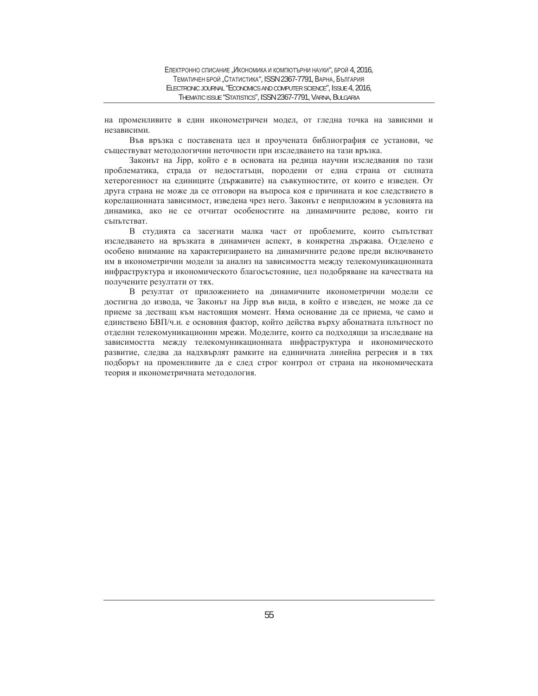на променливите в един иконометричен модел, от гледна точка на зависими и независими.

Във връзка с поставената цел и проучената библиография се установи, че съществуват методологични неточности при изследването на тази връзка.

Законът на Јірр, който е в основата на редица научни изследвания по тази проблематика, страда от недостатъци, породени от една страна от силната хетерогенност на единиците (държавите) на съвкупностите, от които е изведен. От друга страна не може да се отговори на въпроса коя е причината и кое следствието в корелационната зависимост, изведена чрез него. Законът е неприложим в условията на динамика, ако не се отчитат особеностите на динамичните редове, които ги съпътстват.

В студията са засегнати малка част от проблемите, които съпътстват изследването на връзката в динамичен аспект, в конкретна държава. Отделено е особено внимание на характеризирането на динамичните редове преди включването им в иконометрични модели за анализ на зависимостта между телекомуникационната инфраструктура и икономическото благосъстояние, цел подобряване на качествата на получените резултати от тях.

В резултат от приложението на динамичните иконометрични модели се достигна до извода, че Законът на Јірр във вида, в който е изведен, не може да се приеме за дестващ към настоящия момент. Няма основание да се приема, че само и единствено БВП/ч.н. е основния фактор, който действа върху абонатната плътност по отделни телекомуникационни мрежи. Моделите, които са подходящи за изследване на зависимостта между телекомуникационната инфраструктура и икономическото развитие, следва да надхвърлят рамките на единичната линейна регресия и в тях подборът на променливите да е след строг контрол от страна на икономическата теория и иконометричната методология.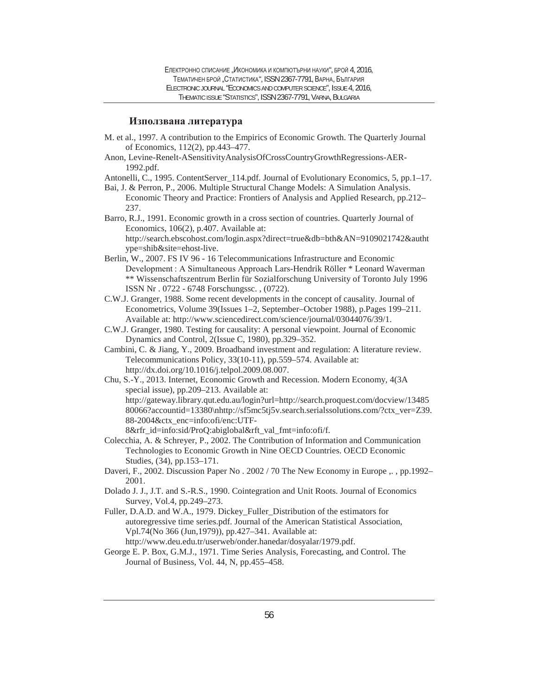# **Използвана литература**

- M. et al., 1997. A contribution to the Empirics of Economic Growth. The Quarterly Journal of Economics, 112(2), pp.443–477.
- Anon, Levine-Renelt-ASensitivityAnalysisOfCrossCountryGrowthRegressions-AER-1992.pdf.
- Antonelli, C., 1995. ContentServer\_114.pdf. Journal of Evolutionary Economics, 5, pp.1–17.
- Bai, J. & Perron, P., 2006. Multiple Structural Change Models: A Simulation Analysis. Economic Theory and Practice: Frontiers of Analysis and Applied Research, pp.212– 237.

Barro, R.J., 1991. Economic growth in a cross section of countries. Quarterly Journal of Economics, 106(2), p.407. Available at: http://search.ebscohost.com/login.aspx?direct=true&db=bth&AN=9109021742&autht ype=shib&site=ehost-live.

- Berlin, W., 2007. FS IV 96 16 Telecommunications Infrastructure and Economic Development: A Simultaneous Approach Lars-Hendrik Röller \* Leonard Waverman \*\* Wissenschaftszentrum Berlin für Sozialforschung University of Toronto July 1996 ISSN Nr . 0722 - 6748 Forschungssc. , (0722).
- C.W.J. Granger, 1988. Some recent developments in the concept of causality. Journal of Econometrics, Volume 39(Issues 1–2, September–October 1988), p.Pages 199–211. Available at: http://www.sciencedirect.com/science/journal/03044076/39/1.
- C.W.J. Granger, 1980. Testing for causality: A personal viewpoint. Journal of Economic Dynamics and Control, 2(Issue C, 1980), pp.329–352.
- Cambini, C. & Jiang, Y., 2009. Broadband investment and regulation: A literature review. Telecommunications Policy, 33(10-11), pp.559–574. Available at: http://dx.doi.org/10.1016/j.telpol.2009.08.007.

Chu, S.-Y., 2013. Internet, Economic Growth and Recession. Modern Economy, 4(3A special issue), pp.209–213. Available at: http://gateway.library.qut.edu.au/login?url=http://search.proquest.com/docview/13485 80066?accountid=13380\nhttp://sf5mc5tj5v.search.serialssolutions.com/?ctx\_ver=Z39. 88-2004&ctx\_enc=info:ofi/enc:UTF-8&rfr\_id=info:sid/ProQ:abiglobal&rft\_val\_fmt=info:ofi/f.

- Colecchia, A. & Schreyer, P., 2002. The Contribution of Information and Communication Technologies to Economic Growth in Nine OECD Countries. OECD Economic Studies, (34), pp.153–171.
- Daveri, F., 2002. Discussion Paper No. 2002 / 70 The New Economy in Europe ,., pp.1992– 2001.
- Dolado J. J., J.T. and S.-R.S., 1990. Cointegration and Unit Roots. Journal of Economics Survey, Vol.4, pp.249–273.
- Fuller, D.A.D. and W.A., 1979. Dickey\_Fuller\_Distribution of the estimators for autoregressive time series.pdf. Journal of the American Statistical Association, Vpl.74(No 366 (Jun,1979)), pp.427–341. Available at: http://www.deu.edu.tr/userweb/onder.hanedar/dosyalar/1979.pdf.
- George E. P. Box, G.M.J., 1971. Time Series Analysis, Forecasting, and Control. The Journal of Business, Vol. 44, N, pp.455–458.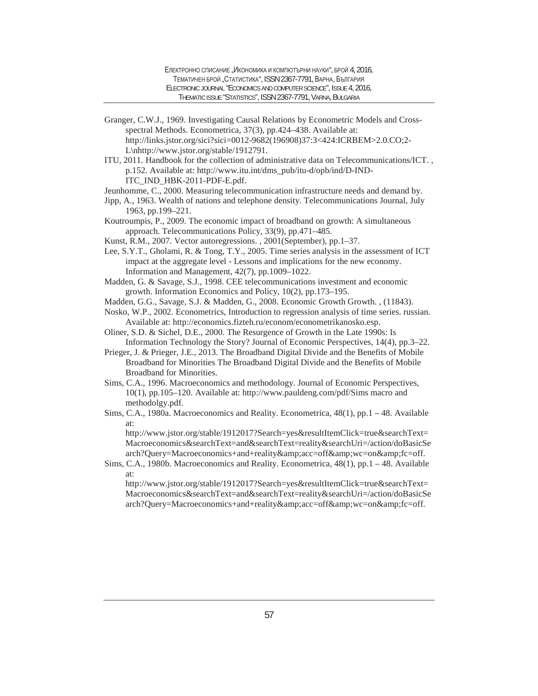Granger, C.W.J., 1969. Investigating Causal Relations by Econometric Models and Crossspectral Methods. Econometrica, 37(3), pp.424–438. Available at: http://links.jstor.org/sici?sici=0012-9682(196908)37:3<424:ICRBEM>2.0.CO;2- L\nhttp://www.jstor.org/stable/1912791.

ITU, 2011. Handbook for the collection of administrative data on Telecommunications/ICT. , p.152. Available at: http://www.itu.int/dms\_pub/itu-d/opb/ind/D-IND-ITC\_IND\_HBK-2011-PDF-E.pdf.

Jeunhomme, C., 2000. Measuring telecommunication infrastructure needs and demand by.

- Jipp, A., 1963. Wealth of nations and telephone density. Telecommunications Journal, July 1963, pp.199–221.
- Koutroumpis, P., 2009. The economic impact of broadband on growth: A simultaneous approach. Telecommunications Policy, 33(9), pp.471–485.
- Kunst, R.M., 2007. Vector autoregressions. , 2001(September), pp.1–37.

Lee, S.Y.T., Gholami, R. & Tong, T.Y., 2005. Time series analysis in the assessment of ICT impact at the aggregate level - Lessons and implications for the new economy. Information and Management, 42(7), pp.1009–1022.

- Madden, G. & Savage, S.J., 1998. CEE telecommunications investment and economic growth. Information Economics and Policy, 10(2), pp.173–195.
- Madden, G.G., Savage, S.J. & Madden, G., 2008. Economic Growth Growth. , (11843).
- Nosko, W.P., 2002. Econometrics, Introduction to regression analysis of time series. russian. Available at: http://economics.fizteh.ru/econom/econometrikanosko.esp.
- Oliner, S.D. & Sichel, D.E., 2000. The Resurgence of Growth in the Late 1990s: Is Information Technology the Story? Journal of Economic Perspectives, 14(4), pp.3–22.
- Prieger, J. & Prieger, J.E., 2013. The Broadband Digital Divide and the Benefits of Mobile Broadband for Minorities The Broadband Digital Divide and the Benefits of Mobile Broadband for Minorities.
- Sims, C.A., 1996. Macroeconomics and methodology. Journal of Economic Perspectives, 10(1), pp.105–120. Available at: http://www.pauldeng.com/pdf/Sims macro and methodolgy.pdf.
- Sims, C.A., 1980a. Macroeconomics and Reality. Econometrica, 48(1), pp.1 48. Available at:

http://www.jstor.org/stable/1912017?Search=yes&resultItemClick=true&searchText= Macroeconomics&searchText=and&searchText=reality&searchUri=/action/doBasicSe arch?Query=Macroeconomics+and+reality&acc=off&wc=on&fc=off.

Sims, C.A., 1980b. Macroeconomics and Reality. Econometrica, 48(1), pp.1 – 48. Available at:

http://www.jstor.org/stable/1912017?Search=yes&resultItemClick=true&searchText= Macroeconomics&searchText=and&searchText=reality&searchUri=/action/doBasicSe arch?Query=Macroeconomics+and+reality&acc=off&wc=on&fc=off.